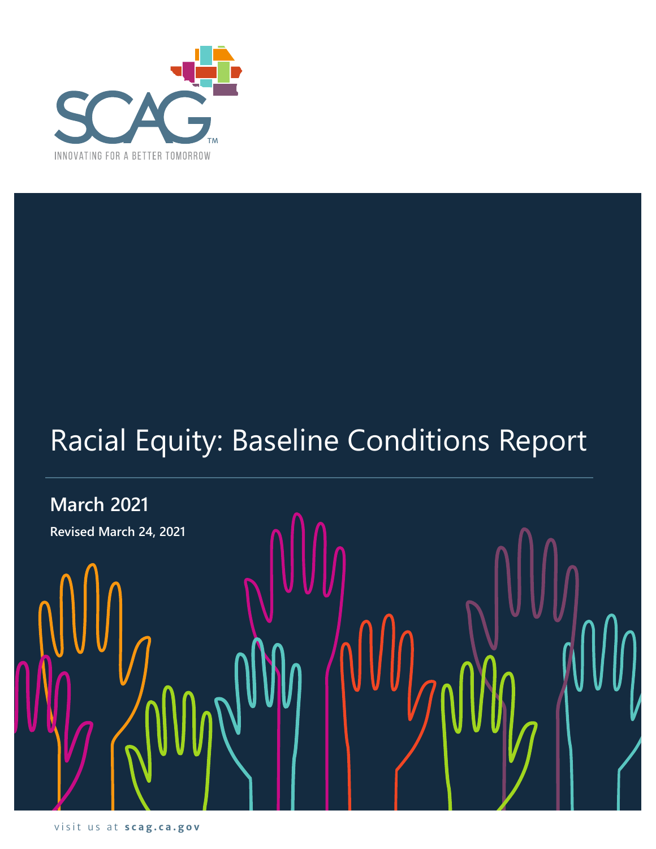

# Racial Equity: Baseline Conditions Report

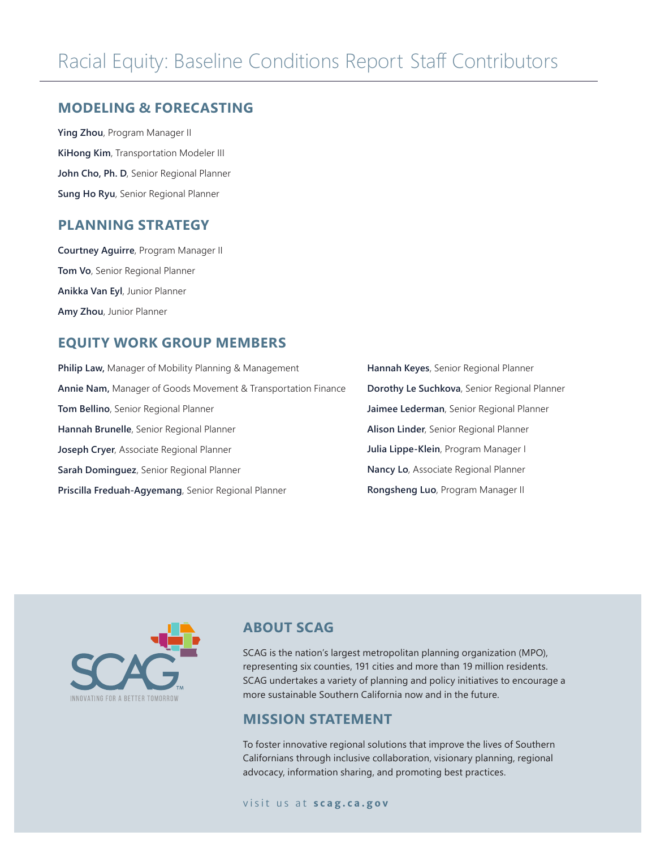#### **MODELING & FORECASTING**

**Ying Zhou**, Program Manager II **KiHong Kim**, Transportation Modeler III John Cho, Ph. D, Senior Regional Planner **Sung Ho Ryu**, Senior Regional Planner

### **PLANNING STRATEGY**

**Courtney Aguirre**, Program Manager II **Tom Vo**, Senior Regional Planner **Anikka Van Eyl**, Junior Planner **Amy Zhou**, Junior Planner

## **EQUITY WORK GROUP MEMBERS**

**Philip Law,** Manager of Mobility Planning & Management **Annie Nam,** Manager of Goods Movement & Transportation Finance **Tom Bellino**, Senior Regional Planner **Hannah Brunelle**, Senior Regional Planner **Joseph Cryer**, Associate Regional Planner **Sarah Dominguez**, Senior Regional Planner **Priscilla Freduah-Agyemang**, Senior Regional Planner

**Hannah Keyes**, Senior Regional Planner **Dorothy Le Suchkova**, Senior Regional Planner **Jaimee Lederman**, Senior Regional Planner **Alison Linder**, Senior Regional Planner **Julia Lippe-Klein**, Program Manager I **Nancy Lo**, Associate Regional Planner **Rongsheng Luo**, Program Manager II



## **ABOUT SCAG**

SCAG is the nation's largest metropolitan planning organization (MPO), representing six counties, 191 cities and more than 19 million residents. SCAG undertakes a variety of planning and policy initiatives to encourage a more sustainable Southern California now and in the future.

#### **MISSION STATEMENT**

To foster innovative regional solutions that improve the lives of Southern Californians through inclusive collaboration, visionary planning, regional advocacy, information sharing, and promoting best practices.

#### visit us at **scag.ca.gov**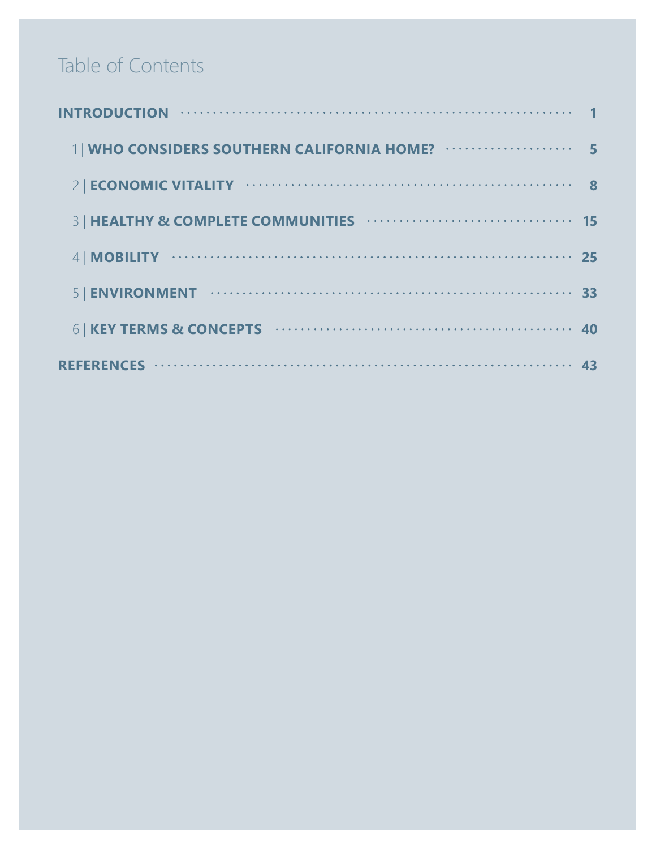# Table of Contents

| 1   WHO CONSIDERS SOUTHERN CALIFORNIA HOME? |   |
|---------------------------------------------|---|
|                                             | 8 |
|                                             |   |
|                                             |   |
|                                             |   |
|                                             |   |
|                                             |   |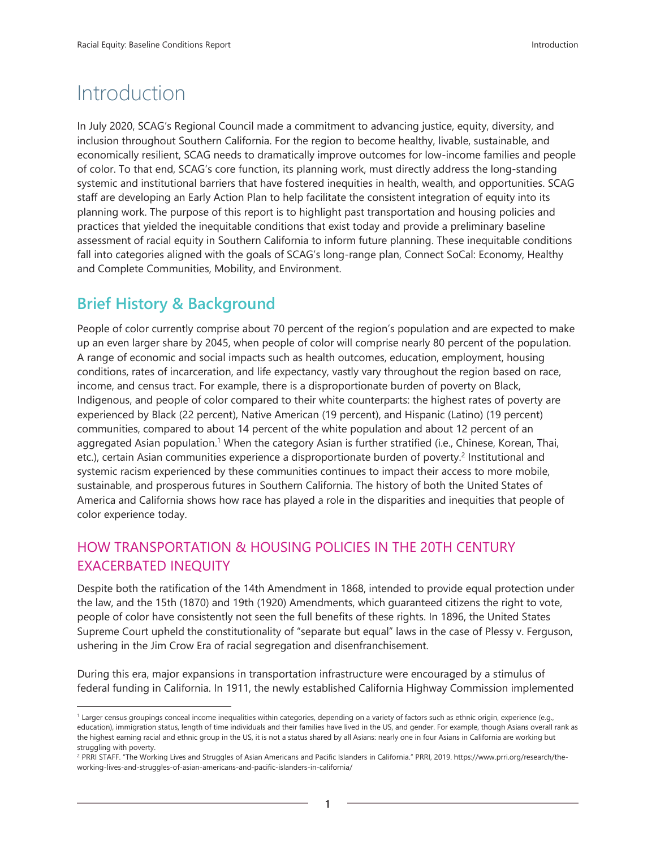# Introduction

In July 2020, SCAG's Regional Council made a commitment to advancing justice, equity, diversity, and inclusion throughout Southern California. For the region to become healthy, livable, sustainable, and economically resilient, SCAG needs to dramatically improve outcomes for low-income families and people of color. To that end, SCAG's core function, its planning work, must directly address the long‐standing systemic and institutional barriers that have fostered inequities in health, wealth, and opportunities. SCAG staff are developing an Early Action Plan to help facilitate the consistent integration of equity into its planning work. The purpose of this report is to highlight past transportation and housing policies and practices that yielded the inequitable conditions that exist today and provide a preliminary baseline assessment of racial equity in Southern California to inform future planning. These inequitable conditions fall into categories aligned with the goals of SCAG's long-range plan, Connect SoCal: Economy, Healthy and Complete Communities, Mobility, and Environment.

# **Brief History & Background**

People of color currently comprise about 70 percent of the region's population and are expected to make up an even larger share by 2045, when people of color will comprise nearly 80 percent of the population. A range of economic and social impacts such as health outcomes, education, employment, housing conditions, rates of incarceration, and life expectancy, vastly vary throughout the region based on race, income, and census tract. For example, there is a disproportionate burden of poverty on Black, Indigenous, and people of color compared to their white counterparts: the highest rates of poverty are experienced by Black (22 percent), Native American (19 percent), and Hispanic (Latino) (19 percent) communities, compared to about 14 percent of the white population and about 12 percent of an aggregated Asian population.<sup>1</sup> When the category Asian is further stratified (i.e., Chinese, Korean, Thai, etc.), certain Asian communities experience a disproportionate burden of poverty.<sup>2</sup> Institutional and systemic racism experienced by these communities continues to impact their access to more mobile, sustainable, and prosperous futures in Southern California. The history of both the United States of America and California shows how race has played a role in the disparities and inequities that people of color experience today.

## HOW TRANSPORTATION & HOUSING POLICIES IN THE 20TH CENTURY EXACERBATED INEQUITY

Despite both the ratification of the 14th Amendment in 1868, intended to provide equal protection under the law, and the 15th (1870) and 19th (1920) Amendments, which guaranteed citizens the right to vote, people of color have consistently not seen the full benefits of these rights. In 1896, the United States Supreme Court upheld the constitutionality of "separate but equal" laws in the case of Plessy v. Ferguson, ushering in the Jim Crow Era of racial segregation and disenfranchisement.

During this era, major expansions in transportation infrastructure were encouraged by a stimulus of federal funding in California. In 1911, the newly established California Highway Commission implemented

<sup>1</sup> Larger census groupings conceal income inequalities within categories, depending on a variety of factors such as ethnic origin, experience (e.g., education), immigration status, length of time individuals and their families have lived in the US, and gender. For example, though Asians overall rank as the highest earning racial and ethnic group in the US, it is not a status shared by all Asians: nearly one in four Asians in California are working but struggling with poverty.

<sup>&</sup>lt;sup>2</sup> PRRI STAFF. "The Working Lives and Struggles of Asian Americans and Pacific Islanders in California." PRRI, 2019. https://www.prri.org/research/theworking-lives-and-struggles-of-asian-americans-and-pacific-islanders-in-california/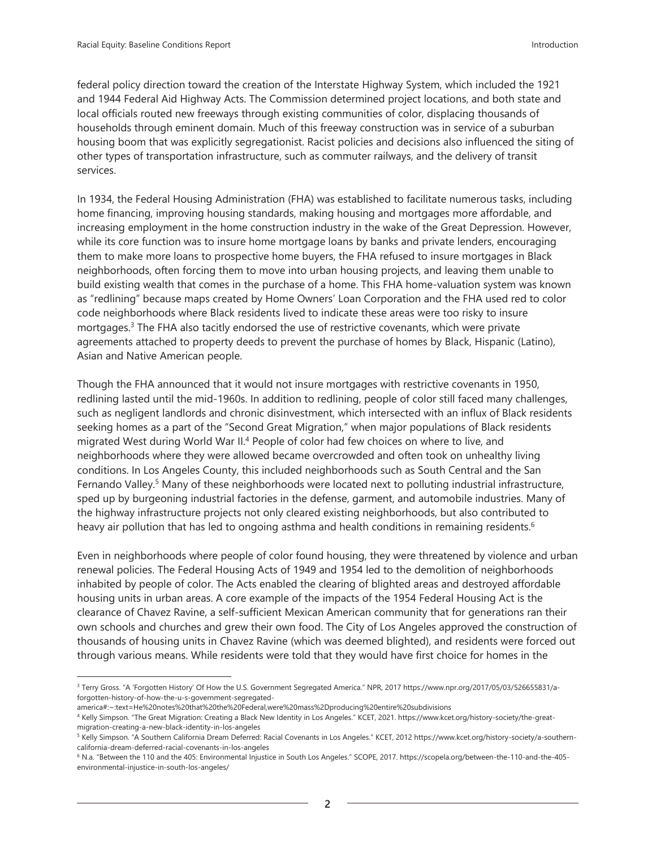federal policy direction toward the creation of the Interstate Highway System, which included the 1921 and 1944 Federal Aid Highway Acts. The Commission determined project locations, and both state and local officials routed new freeways through existing communities of color, displacing thousands of households through eminent domain. Much of this freeway construction was in service of a suburban housing boom that was explicitly segregationist. Racist policies and decisions also influenced the siting of other types of transportation infrastructure, such as commuter railways, and the delivery of transit services.

In 1934, the Federal Housing Administration (FHA) was established to facilitate numerous tasks, including home financing, improving housing standards, making housing and mortgages more affordable, and increasing employment in the home construction industry in the wake of the Great Depression. However, while its core function was to insure home mortgage loans by banks and private lenders, encouraging them to make more loans to prospective home buyers, the FHA refused to insure mortgages in Black neighborhoods, often forcing them to move into urban housing projects, and leaving them unable to build existing wealth that comes in the purchase of a home. This FHA home-valuation system was known as "redlining" because maps created by Home Owners' Loan Corporation and the FHA used red to color code neighborhoods where Black residents lived to indicate these areas were too risky to insure mortgages.<sup>3</sup> The FHA also tacitly endorsed the use of restrictive covenants, which were private agreements attached to property deeds to prevent the purchase of homes by Black, Hispanic (Latino), Asian and Native American people.

Though the FHA announced that it would not insure mortgages with restrictive covenants in 1950, redlining lasted until the mid-1960s. In addition to redlining, people of color still faced many challenges, such as negligent landlords and chronic disinvestment, which intersected with an influx of Black residents seeking homes as a part of the "Second Great Migration," when major populations of Black residents migrated West during World War II.<sup>4</sup> People of color had few choices on where to live, and neighborhoods where they were allowed became overcrowded and often took on unhealthy living conditions. In Los Angeles County, this included neighborhoods such as South Central and the San Fernando Valley.<sup>5</sup> Many of these neighborhoods were located next to polluting industrial infrastructure, sped up by burgeoning industrial factories in the defense, garment, and automobile industries. Many of the highway infrastructure projects not only cleared existing neighborhoods, but also contributed to heavy air pollution that has led to ongoing asthma and health conditions in remaining residents.<sup>6</sup>

Even in neighborhoods where people of color found housing, they were threatened by violence and urban renewal policies. The Federal Housing Acts of 1949 and 1954 led to the demolition of neighborhoods inhabited by people of color. The Acts enabled the clearing of blighted areas and destroyed affordable housing units in urban areas. A core example of the impacts of the 1954 Federal Housing Act is the clearance of Chavez Ravine, a self-sufficient Mexican American community that for generations ran their own schools and churches and grew their own food. The City of Los Angeles approved the construction of thousands of housing units in Chavez Ravine (which was deemed blighted), and residents were forced out through various means. While residents were told that they would have first choice for homes in the

<sup>&</sup>lt;sup>3</sup> Terry Gross. "A 'Forgotten History' Of How the U.S. Government Segregated America." NPR, 2017 https://www.npr.org/2017/05/03/526655831/aforgotten-history-of-how-the-u-s-government-segregated-

america#:~:text=He%20notes%20that%20the%20Federal,were%20mass%2Dproducing%20entire%20subdivisions

<sup>4</sup> Kelly Simpson. "The Great Migration: Creating a Black New Identity in Los Angeles." KCET, 2021. https://www.kcet.org/history-society/the-greatmigration-creating-a-new-black-identity-in-los-angeles

<sup>5</sup> Kelly Simpson. "A Southern California Dream Deferred: Racial Covenants in Los Angeles." KCET, 2012 https://www.kcet.org/history-society/a-southerncalifornia-dream-deferred-racial-covenants-in-los-angeles

<sup>6</sup> N.a. "Between the 110 and the 405: Environmental Injustice in South Los Angeles." SCOPE, 2017. https://scopela.org/between-the-110-and-the-405 environmental-injustice-in-south-los-angeles/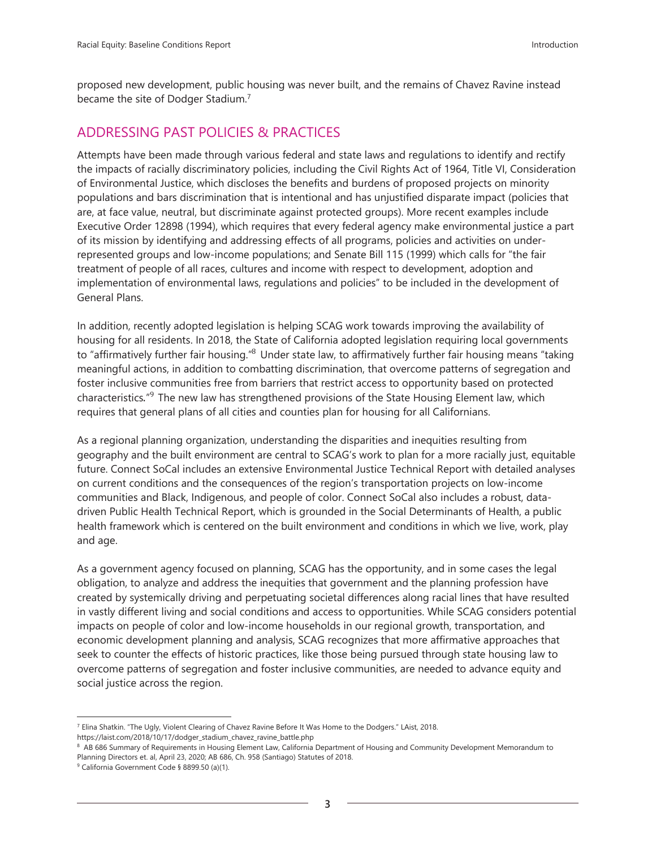proposed new development, public housing was never built, and the remains of Chavez Ravine instead became the site of Dodger Stadium.<sup>7</sup>

## ADDRESSING PAST POLICIES & PRACTICES

Attempts have been made through various federal and state laws and regulations to identify and rectify the impacts of racially discriminatory policies, including the Civil Rights Act of 1964, Title VI, Consideration of Environmental Justice, which discloses the benefits and burdens of proposed projects on minority populations and bars discrimination that is intentional and has unjustified disparate impact (policies that are, at face value, neutral, but discriminate against protected groups). More recent examples include Executive Order 12898 (1994), which requires that every federal agency make environmental justice a part of its mission by identifying and addressing effects of all programs, policies and activities on underrepresented groups and low-income populations; and Senate Bill 115 (1999) which calls for "the fair treatment of people of all races, cultures and income with respect to development, adoption and implementation of environmental laws, regulations and policies" to be included in the development of General Plans.

In addition, recently adopted legislation is helping SCAG work towards improving the availability of housing for all residents. In 2018, the State of California adopted legislation requiring local governments to "affirmatively further fair housing."<sup>8</sup> Under state law, to affirmatively further fair housing means "taking meaningful actions, in addition to combatting discrimination, that overcome patterns of segregation and foster inclusive communities free from barriers that restrict access to opportunity based on protected characteristics."<sup>9</sup> The new law has strengthened provisions of the State Housing Element law, which requires that general plans of all cities and counties plan for housing for all Californians.

As a regional planning organization, understanding the disparities and inequities resulting from geography and the built environment are central to SCAG's work to plan for a more racially just, equitable future. Connect SoCal includes an extensive Environmental Justice Technical Report with detailed analyses on current conditions and the consequences of the region's transportation projects on low-income communities and Black, Indigenous, and people of color. Connect SoCal also includes a robust, data‐ driven Public Health Technical Report, which is grounded in the Social Determinants of Health, a public health framework which is centered on the built environment and conditions in which we live, work, play and age.

As a government agency focused on planning, SCAG has the opportunity, and in some cases the legal obligation, to analyze and address the inequities that government and the planning profession have created by systemically driving and perpetuating societal differences along racial lines that have resulted in vastly different living and social conditions and access to opportunities. While SCAG considers potential impacts on people of color and low-income households in our regional growth, transportation, and economic development planning and analysis, SCAG recognizes that more affirmative approaches that seek to counter the effects of historic practices, like those being pursued through state housing law to overcome patterns of segregation and foster inclusive communities, are needed to advance equity and social justice across the region.

<sup>7</sup> Elina Shatkin. "The Ugly, Violent Clearing of Chavez Ravine Before It Was Home to the Dodgers." LAist, 2018. https://laist.com/2018/10/17/dodger\_stadium\_chavez\_ravine\_battle.php

<sup>&</sup>lt;sup>8</sup> AB 686 Summary of Requirements in Housing Element Law, California Department of Housing and Community Development Memorandum to Planning Directors et. al, April 23, 2020; AB 686, Ch. 958 (Santiago) Statutes of 2018.

<sup>9</sup> California Government Code § 8899.50 (a)(1).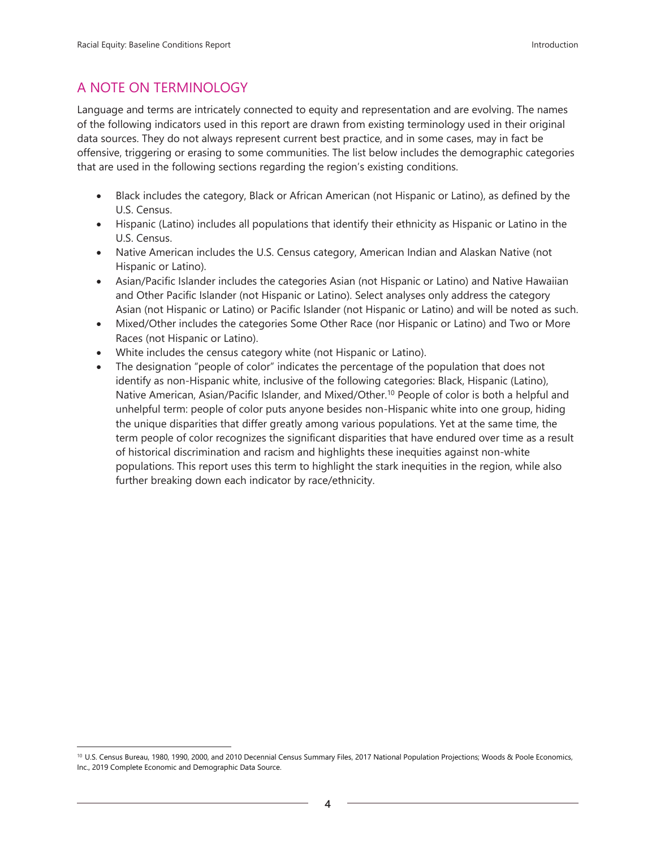## A NOTE ON TERMINOLOGY

Language and terms are intricately connected to equity and representation and are evolving. The names of the following indicators used in this report are drawn from existing terminology used in their original data sources. They do not always represent current best practice, and in some cases, may in fact be offensive, triggering or erasing to some communities. The list below includes the demographic categories that are used in the following sections regarding the region's existing conditions.

- Black includes the category, Black or African American (not Hispanic or Latino), as defined by the U.S. Census.
- Hispanic (Latino) includes all populations that identify their ethnicity as Hispanic or Latino in the U.S. Census.
- Native American includes the U.S. Census category, American Indian and Alaskan Native (not Hispanic or Latino).
- Asian/Pacific Islander includes the categories Asian (not Hispanic or Latino) and Native Hawaiian and Other Pacific Islander (not Hispanic or Latino). Select analyses only address the category Asian (not Hispanic or Latino) or Pacific Islander (not Hispanic or Latino) and will be noted as such.
- Mixed/Other includes the categories Some Other Race (nor Hispanic or Latino) and Two or More Races (not Hispanic or Latino).
- White includes the census category white (not Hispanic or Latino).
- The designation "people of color" indicates the percentage of the population that does not identify as non-Hispanic white, inclusive of the following categories: Black, Hispanic (Latino), Native American, Asian/Pacific Islander, and Mixed/Other.<sup>10</sup> People of color is both a helpful and unhelpful term: people of color puts anyone besides non-Hispanic white into one group, hiding the unique disparities that differ greatly among various populations. Yet at the same time, the term people of color recognizes the significant disparities that have endured over time as a result of historical discrimination and racism and highlights these inequities against non-white populations. This report uses this term to highlight the stark inequities in the region, while also further breaking down each indicator by race/ethnicity.

<sup>&</sup>lt;sup>10</sup> U.S. Census Bureau, 1980, 1990, 2000, and 2010 Decennial Census Summary Files, 2017 National Population Projections; Woods & Poole Economics, Inc., 2019 Complete Economic and Demographic Data Source.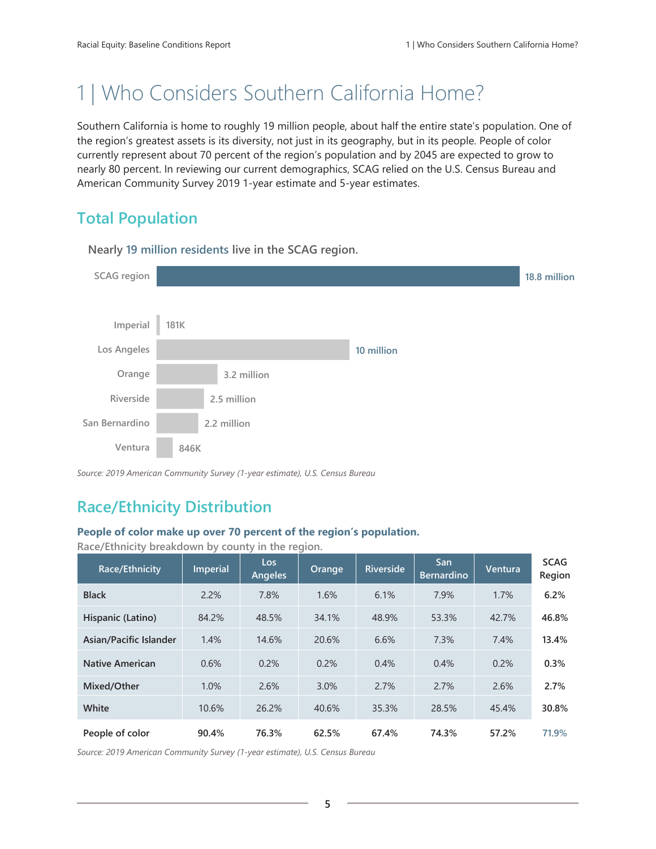# 1 | Who Considers Southern California Home?

Southern California is home to roughly 19 million people, about half the entire state's population. One of the region's greatest assets is its diversity, not just in its geography, but in its people. People of color currently represent about 70 percent of the region's population and by 2045 are expected to grow to nearly 80 percent. In reviewing our current demographics, SCAG relied on the U.S. Census Bureau and American Community Survey 2019 1-year estimate and 5-year estimates.

# **Total Population**



**Nearly 19 million residents live in the SCAG region.**

*Source: 2019 American Community Survey (1-year estimate), U.S. Census Bureau*

# **Race/Ethnicity Distribution**

#### **People of color make up over 70 percent of the region's population.**

| Race/Ethnicity         | Imperial | Los<br><b>Angeles</b> | Orange | <b>Riverside</b> | San<br><b>Bernardino</b> | Ventura | <b>SCAG</b><br>Region |
|------------------------|----------|-----------------------|--------|------------------|--------------------------|---------|-----------------------|
| <b>Black</b>           | 2.2%     | 7.8%                  | 1.6%   | 6.1%             | 7.9%                     | 1.7%    | 6.2%                  |
| Hispanic (Latino)      | 84.2%    | 48.5%                 | 34.1%  | 48.9%            | 53.3%                    | 42.7%   | 46.8%                 |
| Asian/Pacific Islander | 1.4%     | 14.6%                 | 20.6%  | 6.6%             | 7.3%                     | 7.4%    | 13.4%                 |
| <b>Native American</b> | 0.6%     | 0.2%                  | 0.2%   | 0.4%             | 0.4%                     | 0.2%    | 0.3%                  |
| Mixed/Other            | 1.0%     | 2.6%                  | 3.0%   | 2.7%             | 2.7%                     | 2.6%    | 2.7%                  |
| White                  | 10.6%    | 26.2%                 | 40.6%  | 35.3%            | 28.5%                    | 45.4%   | 30.8%                 |
| People of color        | 90.4%    | 76.3%                 | 62.5%  | 67.4%            | 74.3%                    | 57.2%   | 71.9%                 |

**Race/Ethnicity breakdown by county in the region.**

*Source: 2019 American Community Survey (1-year estimate), U.S. Census Bureau*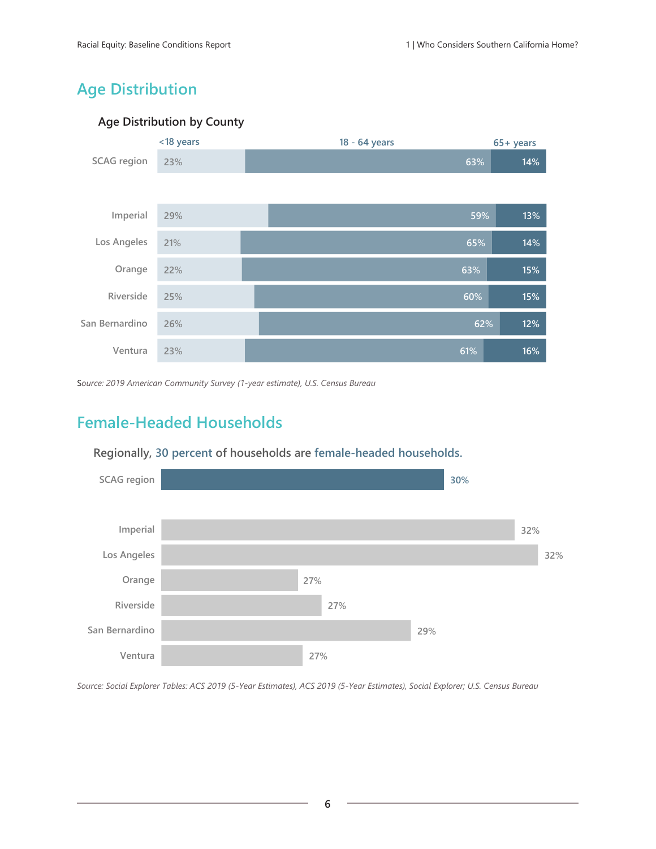# **Age Distribution**

### **Age Distribution by County**



S*ource: 2019 American Community Survey (1-year estimate), U.S. Census Bureau*

# **Female-Headed Households**



### **Regionally, 30 percent of households are female-headed households.**

*Source: Social Explorer Tables: ACS 2019 (5-Year Estimates), ACS 2019 (5-Year Estimates), Social Explorer; U.S. Census Bureau*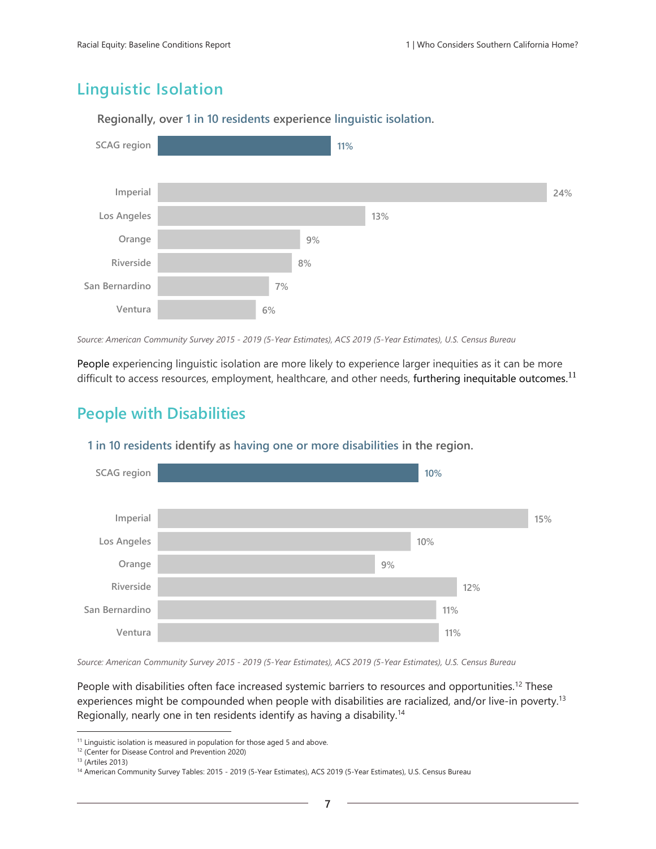# **Linguistic Isolation**



**Regionally, over 1 in 10 residents experience linguistic isolation.**

*Source: American Community Survey 2015 - 2019 (5-Year Estimates), ACS 2019 (5-Year Estimates), U.S. Census Bureau*

People experiencing linguistic isolation are more likely to experience larger inequities as it can be more difficult to access resources, employment, healthcare, and other needs, furthering inequitable outcomes.<sup>11</sup>

## **People with Disabilities**



**1 in 10 residents identify as having one or more disabilities in the region.**

*Source: American Community Survey 2015 - 2019 (5-Year Estimates), ACS 2019 (5-Year Estimates), U.S. Census Bureau*

People with disabilities often face increased systemic barriers to resources and opportunities.<sup>12</sup> These experiences might be compounded when people with disabilities are racialized, and/or live-in poverty.<sup>13</sup> Regionally, nearly one in ten residents identify as having a disability.<sup>14</sup>

<sup>&</sup>lt;sup>11</sup> Linguistic isolation is measured in population for those aged 5 and above.

<sup>12</sup> (Center for Disease Control and Prevention 2020)

<sup>13</sup> (Artiles 2013)

<sup>14</sup> American Community Survey Tables: 2015 - 2019 (5-Year Estimates), ACS 2019 (5-Year Estimates), U.S. Census Bureau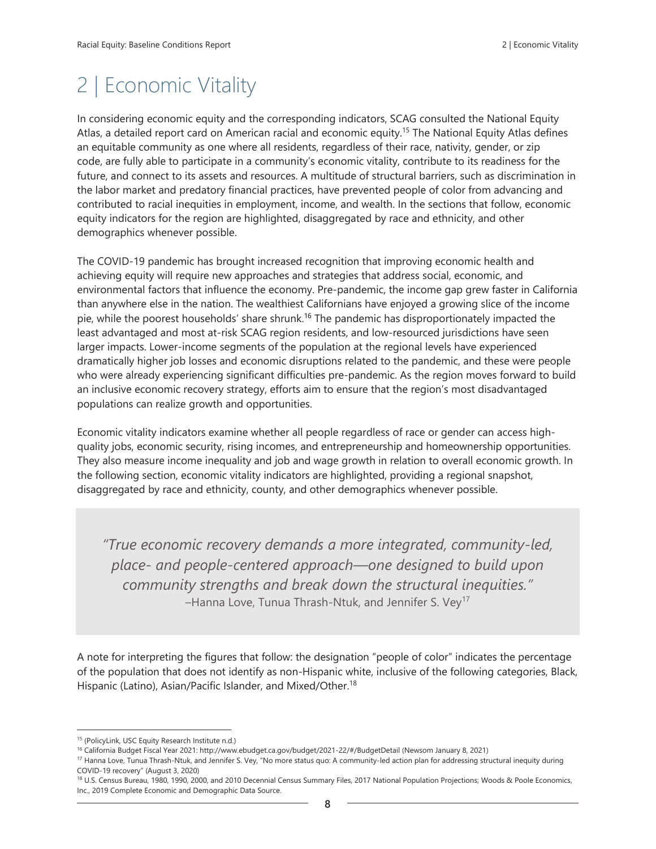# 2 | Economic Vitality

In considering economic equity and the corresponding indicators, SCAG consulted the National Equity Atlas, a detailed report card on American racial and economic equity.<sup>15</sup> The National Equity Atlas defines an equitable community as one where all residents, regardless of their race, nativity, gender, or zip code, are fully able to participate in a community's economic vitality, contribute to its readiness for the future, and connect to its assets and resources. A multitude of structural barriers, such as discrimination in the labor market and predatory financial practices, have prevented people of color from advancing and contributed to racial inequities in employment, income, and wealth. In the sections that follow, economic equity indicators for the region are highlighted, disaggregated by race and ethnicity, and other demographics whenever possible.

The COVID-19 pandemic has brought increased recognition that improving economic health and achieving equity will require new approaches and strategies that address social, economic, and environmental factors that influence the economy. Pre-pandemic, the income gap grew faster in California than anywhere else in the nation. The wealthiest Californians have enjoyed a growing slice of the income pie, while the poorest households' share shrunk.<sup>16</sup> The pandemic has disproportionately impacted the least advantaged and most at-risk SCAG region residents, and low-resourced jurisdictions have seen larger impacts. Lower-income segments of the population at the regional levels have experienced dramatically higher job losses and economic disruptions related to the pandemic, and these were people who were already experiencing significant difficulties pre-pandemic. As the region moves forward to build an inclusive economic recovery strategy, efforts aim to ensure that the region's most disadvantaged populations can realize growth and opportunities.

Economic vitality indicators examine whether all people regardless of race or gender can access highquality jobs, economic security, rising incomes, and entrepreneurship and homeownership opportunities. They also measure income inequality and job and wage growth in relation to overall economic growth. In the following section, economic vitality indicators are highlighted, providing a regional snapshot, disaggregated by race and ethnicity, county, and other demographics whenever possible.

*"True economic recovery demands a more integrated, community-led, place- and people-centered approach—one designed to build upon community strengths and break down the structural inequities."* –Hanna Love, Tunua Thrash-Ntuk, and Jennifer S. Vey<sup>17</sup>

A note for interpreting the figures that follow: the designation "people of color" indicates the percentage of the population that does not identify as non-Hispanic white, inclusive of the following categories, Black, Hispanic (Latino), Asian/Pacific Islander, and Mixed/Other.<sup>18</sup>

<sup>15</sup> (PolicyLink, USC Equity Research Institute n.d.)

<sup>16</sup> California Budget Fiscal Year 2021: http://www.ebudget.ca.gov/budget/2021-22/#/BudgetDetail (Newsom January 8, 2021)

<sup>17</sup> Hanna Love, Tunua Thrash-Ntuk, and Jennifer S. Vey, "No more status quo: A community-led action plan for addressing structural inequity during COVID-19 recovery" (August 3, 2020)

<sup>&</sup>lt;sup>18</sup> U.S. Census Bureau, 1980, 1990, 2000, and 2010 Decennial Census Summary Files, 2017 National Population Projections; Woods & Poole Economics, Inc., 2019 Complete Economic and Demographic Data Source.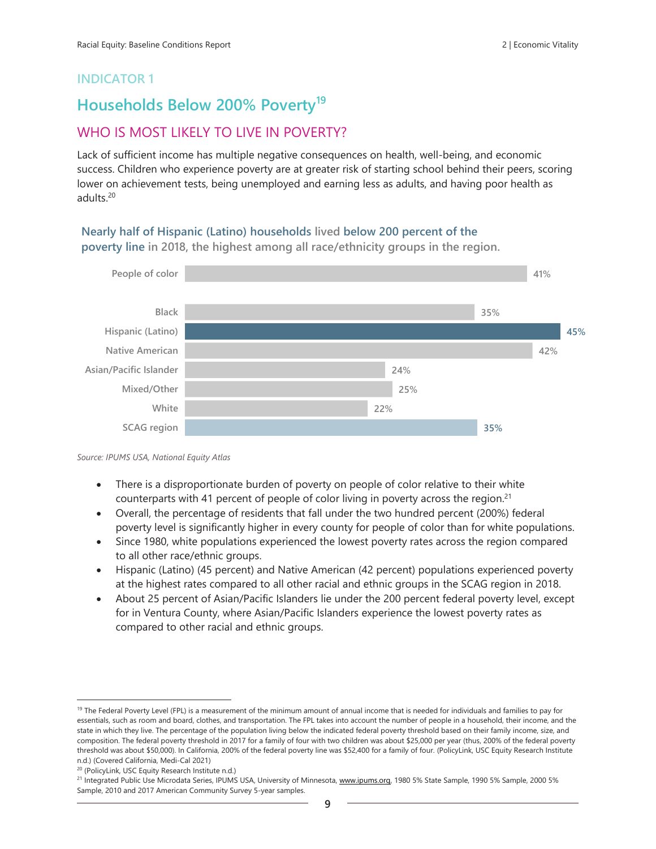## **Households Below 200% Poverty<sup>19</sup>**

## WHO IS MOST LIKELY TO LIVE IN POVERTY?

Lack of sufficient income has multiple negative consequences on health, well-being, and economic success. Children who experience poverty are at greater risk of starting school behind their peers, scoring lower on achievement tests, being unemployed and earning less as adults, and having poor health as adults.<sup>20</sup>

#### **Nearly half of Hispanic (Latino) households lived below 200 percent of the poverty line in 2018, the highest among all race/ethnicity groups in the region.**



*Source: IPUMS USA, National Equity Atlas*

- There is a disproportionate burden of poverty on people of color relative to their white counterparts with 41 percent of people of color living in poverty across the region. $21$
- Overall, the percentage of residents that fall under the two hundred percent (200%) federal poverty level is significantly higher in every county for people of color than for white populations.
- Since 1980, white populations experienced the lowest poverty rates across the region compared to all other race/ethnic groups.
- Hispanic (Latino) (45 percent) and Native American (42 percent) populations experienced poverty at the highest rates compared to all other racial and ethnic groups in the SCAG region in 2018.
- About 25 percent of Asian/Pacific Islanders lie under the 200 percent federal poverty level, except for in Ventura County, where Asian/Pacific Islanders experience the lowest poverty rates as compared to other racial and ethnic groups.

<sup>&</sup>lt;sup>19</sup> The Federal Poverty Level (FPL) is a measurement of the minimum amount of annual income that is needed for individuals and families to pay for essentials, such as room and board, clothes, and transportation. The FPL takes into account the number of people in a household, their income, and the state in which they live. The percentage of the population living below the indicated federal poverty threshold based on their family income, size, and composition. The federal poverty threshold in 2017 for a family of four with two children was about \$25,000 per year (thus, 200% of the federal poverty threshold was about \$50,000). In California, 200% of the federal poverty line was \$52,400 for a family of four. (PolicyLink, USC Equity Research Institute n.d.) (Covered California, Medi-Cal 2021)

<sup>20</sup> (PolicyLink, USC Equity Research Institute n.d.)

<sup>&</sup>lt;sup>21</sup> Integrated Public Use Microdata Series, IPUMS USA, University of Minnesota, [www.ipums.org,](http://www.ipums.org/) 1980 5% State Sample, 1990 5% Sample, 2000 5% Sample, 2010 and 2017 American Community Survey 5-year samples.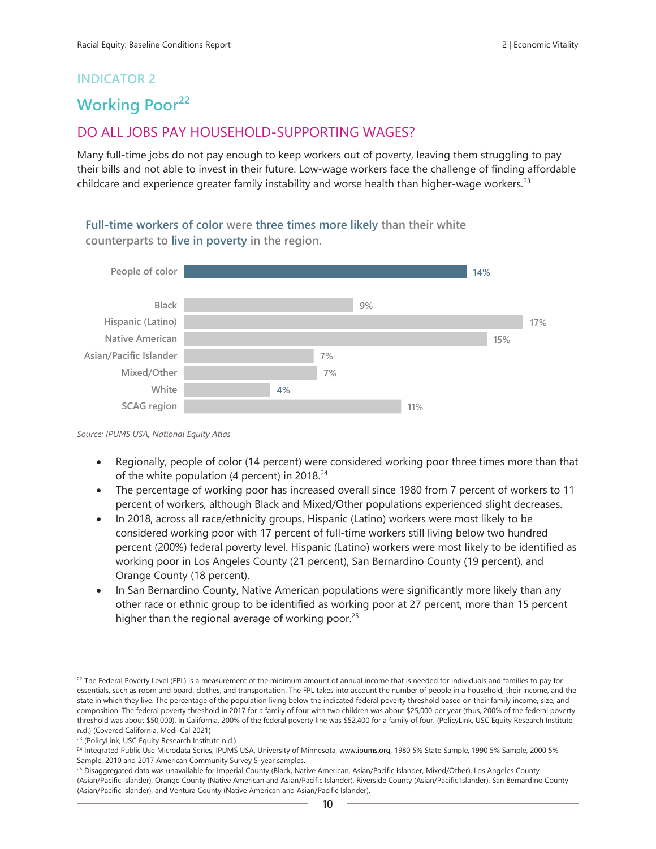# **Working Poor<sup>22</sup>**

## DO ALL JOBS PAY HOUSEHOLD-SUPPORTING WAGES?

Many full-time jobs do not pay enough to keep workers out of poverty, leaving them struggling to pay their bills and not able to invest in their future. Low-wage workers face the challenge of finding affordable childcare and experience greater family instability and worse health than higher-wage workers.<sup>23</sup>

**Full-time workers of color were three times more likely than their white counterparts to live in poverty in the region.**



*Source: IPUMS USA, National Equity Atlas*

- Regionally, people of color (14 percent) were considered working poor three times more than that of the white population (4 percent) in  $2018.<sup>24</sup>$
- The percentage of working poor has increased overall since 1980 from 7 percent of workers to 11 percent of workers, although Black and Mixed/Other populations experienced slight decreases.
- In 2018, across all race/ethnicity groups, Hispanic (Latino) workers were most likely to be considered working poor with 17 percent of full-time workers still living below two hundred percent (200%) federal poverty level. Hispanic (Latino) workers were most likely to be identified as working poor in Los Angeles County (21 percent), San Bernardino County (19 percent), and Orange County (18 percent).
- In San Bernardino County, Native American populations were significantly more likely than any other race or ethnic group to be identified as working poor at 27 percent, more than 15 percent higher than the regional average of working poor.<sup>25</sup>

<sup>&</sup>lt;sup>22</sup> The Federal Poverty Level (FPL) is a measurement of the minimum amount of annual income that is needed for individuals and families to pay for essentials, such as room and board, clothes, and transportation. The FPL takes into account the number of people in a household, their income, and the state in which they live. The percentage of the population living below the indicated federal poverty threshold based on their family income, size, and composition. The federal poverty threshold in 2017 for a family of four with two children was about \$25,000 per year (thus, 200% of the federal poverty threshold was about \$50,000). In California, 200% of the federal poverty line was \$52,400 for a family of four. (PolicyLink, USC Equity Research Institute n.d.) (Covered California, Medi-Cal 2021)

<sup>23</sup> (PolicyLink, USC Equity Research Institute n.d.)

<sup>&</sup>lt;sup>24</sup> Integrated Public Use Microdata Series, IPUMS USA, University of Minnesota, [www.ipums.org,](http://www.ipums.org/) 1980 5% State Sample, 1990 5% Sample, 2000 5% Sample, 2010 and 2017 American Community Survey 5-year samples.

<sup>&</sup>lt;sup>25</sup> Disaggregated data was unavailable for Imperial County (Black, Native American, Asian/Pacific Islander, Mixed/Other), Los Angeles County (Asian/Pacific Islander), Orange County (Native American and Asian/Pacific Islander), Riverside County (Asian/Pacific Islander), San Bernardino County (Asian/Pacific Islander), and Ventura County (Native American and Asian/Pacific Islander).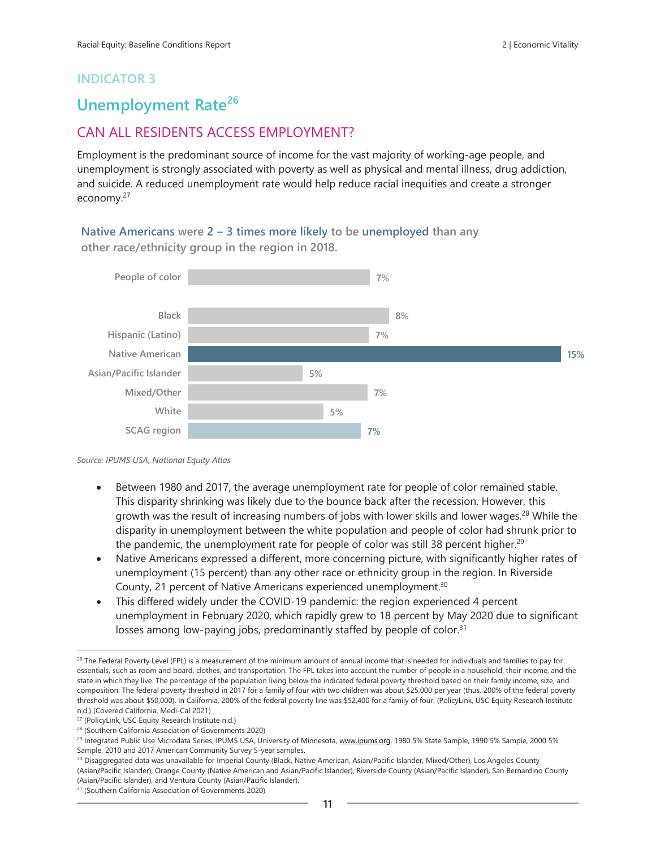## **Unemployment Rate<sup>26</sup>**

## CAN ALL RESIDENTS ACCESS EMPLOYMENT?

Employment is the predominant source of income for the vast majority of working-age people, and unemployment is strongly associated with poverty as well as physical and mental illness, drug addiction, and suicide. A reduced unemployment rate would help reduce racial inequities and create a stronger economy.<sup>27</sup>

**Native Americans were 2 ‒ 3 times more likely to be unemployed than any other race/ethnicity group in the region in 2018.**



*Source: IPUMS USA, National Equity Atlas*

- Between 1980 and 2017, the average unemployment rate for people of color remained stable. This disparity shrinking was likely due to the bounce back after the recession. However, this growth was the result of increasing numbers of jobs with lower skills and lower wages.<sup>28</sup> While the disparity in unemployment between the white population and people of color had shrunk prior to the pandemic, the unemployment rate for people of color was still 38 percent higher.<sup>29</sup>
- Native Americans expressed a different, more concerning picture, with significantly higher rates of unemployment (15 percent) than any other race or ethnicity group in the region. In Riverside County, 21 percent of Native Americans experienced unemployment.<sup>30</sup>
- This differed widely under the COVID-19 pandemic: the region experienced 4 percent unemployment in February 2020, which rapidly grew to 18 percent by May 2020 due to significant losses among low-paying jobs, predominantly staffed by people of color.<sup>31</sup>

<sup>&</sup>lt;sup>26</sup> The Federal Poverty Level (FPL) is a measurement of the minimum amount of annual income that is needed for individuals and families to pay for essentials, such as room and board, clothes, and transportation. The FPL takes into account the number of people in a household, their income, and the state in which they live. The percentage of the population living below the indicated federal poverty threshold based on their family income, size, and composition. The federal poverty threshold in 2017 for a family of four with two children was about \$25,000 per year (thus, 200% of the federal poverty threshold was about \$50,000). In California, 200% of the federal poverty line was \$52,400 for a family of four. (PolicyLink, USC Equity Research Institute n.d.) (Covered California, Medi-Cal 2021)

<sup>27</sup> (PolicyLink, USC Equity Research Institute n.d.)

<sup>28</sup> (Southern California Association of Governments 2020)

<sup>&</sup>lt;sup>29</sup> Integrated Public Use Microdata Series, IPUMS USA, University of Minnesota, [www.ipums.org,](http://www.ipums.org/) 1980 5% State Sample, 1990 5% Sample, 2000 5% Sample, 2010 and 2017 American Community Survey 5-year samples.

<sup>&</sup>lt;sup>30</sup> Disaggregated data was unavailable for Imperial County (Black, Native American, Asian/Pacific Islander, Mixed/Other), Los Angeles County (Asian/Pacific Islander), Orange County (Native American and Asian/Pacific Islander), Riverside County (Asian/Pacific Islander), San Bernardino County (Asian/Pacific Islander), and Ventura County (Asian/Pacific Islander).

<sup>31</sup> (Southern California Association of Governments 2020)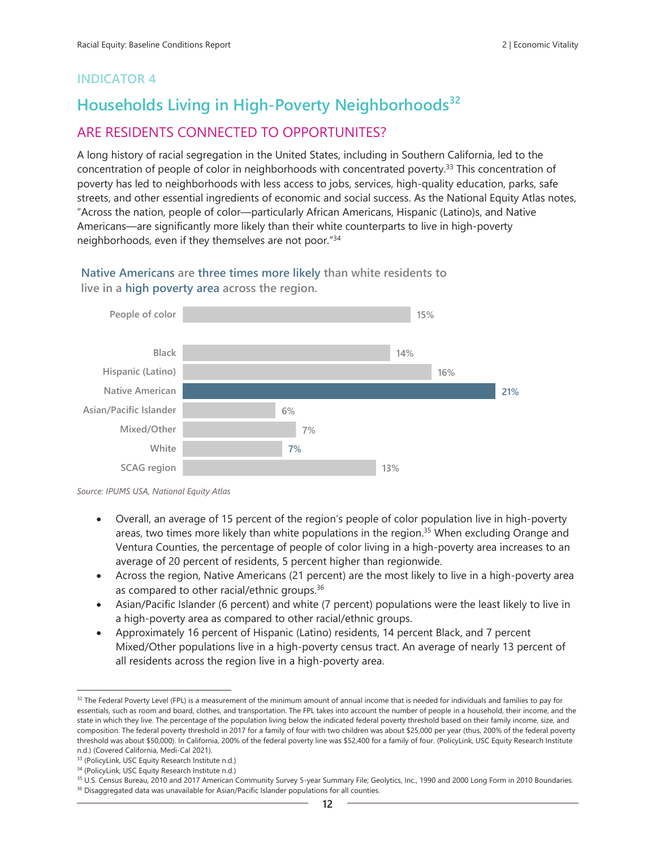# **Households Living in High-Poverty Neighborhoods<sup>32</sup>** ARE RESIDENTS CONNECTED TO OPPORTUNITES?

A long history of racial segregation in the United States, including in Southern California, led to the concentration of people of color in neighborhoods with concentrated poverty.<sup>33</sup> This concentration of poverty has led to neighborhoods with less access to jobs, services, high-quality education, parks, safe streets, and other essential ingredients of economic and social success. As the National Equity Atlas notes, "Across the nation, people of color—particularly African Americans, Hispanic (Latino)s, and Native Americans—are significantly more likely than their white counterparts to live in high-poverty neighborhoods, even if they themselves are not poor."<sup>34</sup>

**15% 14% 16% 21% 6% 7% 7% 13% People of color Black Hispanic (Latino) Native American Asian/Pacific Islander Mixed/Other White SCAG region**

**Native Americans are three times more likely than white residents to live in a high poverty area across the region.**

- Overall, an average of 15 percent of the region's people of color population live in high-poverty areas, two times more likely than white populations in the region.<sup>35</sup> When excluding Orange and Ventura Counties, the percentage of people of color living in a high-poverty area increases to an average of 20 percent of residents, 5 percent higher than regionwide.
- Across the region, Native Americans (21 percent) are the most likely to live in a high-poverty area as compared to other racial/ethnic groups.<sup>36</sup>
- Asian/Pacific Islander (6 percent) and white (7 percent) populations were the least likely to live in a high-poverty area as compared to other racial/ethnic groups.
- Approximately 16 percent of Hispanic (Latino) residents, 14 percent Black, and 7 percent Mixed/Other populations live in a high-poverty census tract. An average of nearly 13 percent of all residents across the region live in a high-poverty area.

*Source: IPUMS USA, National Equity Atlas*

<sup>&</sup>lt;sup>32</sup> The Federal Poverty Level (FPL) is a measurement of the minimum amount of annual income that is needed for individuals and families to pay for essentials, such as room and board, clothes, and transportation. The FPL takes into account the number of people in a household, their income, and the state in which they live. The percentage of the population living below the indicated federal poverty threshold based on their family income, size, and composition. The federal poverty threshold in 2017 for a family of four with two children was about \$25,000 per year (thus, 200% of the federal poverty threshold was about \$50,000). In California, 200% of the federal poverty line was \$52,400 for a family of four. (PolicyLink, USC Equity Research Institute n.d.) (Covered California, Medi-Cal 2021).

<sup>33 (</sup>PolicyLink, USC Equity Research Institute n.d.)

<sup>34</sup> (PolicyLink, USC Equity Research Institute n.d.)

<sup>35</sup> U.S. Census Bureau, 2010 and 2017 American Community Survey 5-year Summary File; Geolytics, Inc., 1990 and 2000 Long Form in 2010 Boundaries. <sup>36</sup> Disaggregated data was unavailable for Asian/Pacific Islander populations for all counties.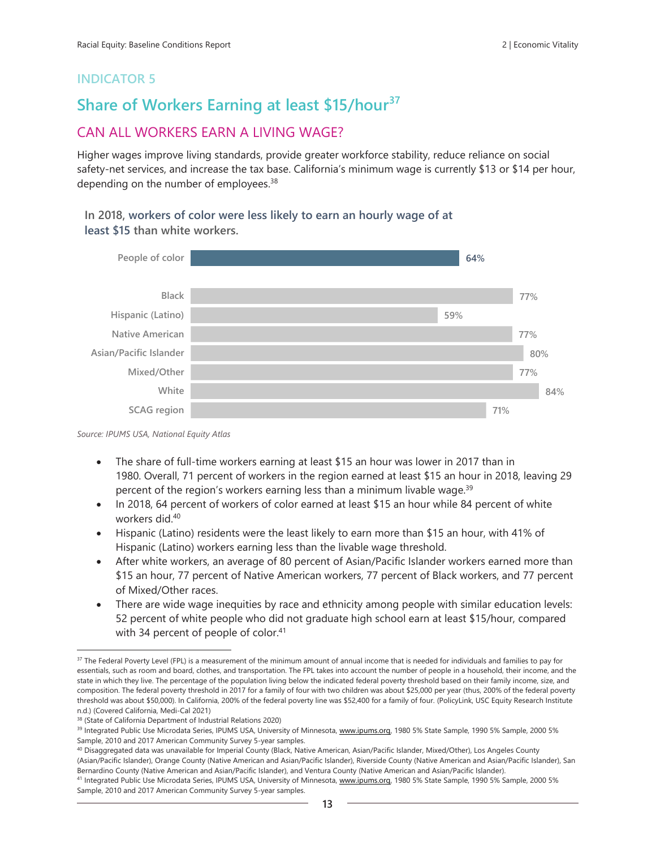# **Share of Workers Earning at least \$15/hour<sup>37</sup>**

## CAN ALL WORKERS EARN A LIVING WAGE?

Higher wages improve living standards, provide greater workforce stability, reduce reliance on social safety-net services, and increase the tax base. California's minimum wage is currently \$13 or \$14 per hour, depending on the number of employees.<sup>38</sup>

#### **In 2018, workers of color were less likely to earn an hourly wage of at least \$15 than white workers.**



*Source: IPUMS USA, National Equity Atlas*

- The share of full-time workers earning at least \$15 an hour was lower in 2017 than in 1980. Overall, 71 percent of workers in the region earned at least \$15 an hour in 2018, leaving 29 percent of the region's workers earning less than a minimum livable wage.<sup>39</sup>
- In 2018, 64 percent of workers of color earned at least \$15 an hour while 84 percent of white workers did.<sup>40</sup>
- Hispanic (Latino) residents were the least likely to earn more than \$15 an hour, with 41% of Hispanic (Latino) workers earning less than the livable wage threshold.
- After white workers, an average of 80 percent of Asian/Pacific Islander workers earned more than \$15 an hour, 77 percent of Native American workers, 77 percent of Black workers, and 77 percent of Mixed/Other races.
- There are wide wage inequities by race and ethnicity among people with similar education levels: 52 percent of white people who did not graduate high school earn at least \$15/hour, compared with 34 percent of people of color.<sup>41</sup>

<sup>40</sup> Disaggregated data was unavailable for Imperial County (Black, Native American, Asian/Pacific Islander, Mixed/Other), Los Angeles County (Asian/Pacific Islander), Orange County (Native American and Asian/Pacific Islander), Riverside County (Native American and Asian/Pacific Islander), San Bernardino County (Native American and Asian/Pacific Islander), and Ventura County (Native American and Asian/Pacific Islander).

41 Integrated Public Use Microdata Series, IPUMS USA, University of Minnesota, [www.ipums.org,](http://www.ipums.org/) 1980 5% State Sample, 1990 5% Sample, 2000 5% Sample, 2010 and 2017 American Community Survey 5-year samples.

<sup>&</sup>lt;sup>37</sup> The Federal Poverty Level (FPL) is a measurement of the minimum amount of annual income that is needed for individuals and families to pay for essentials, such as room and board, clothes, and transportation. The FPL takes into account the number of people in a household, their income, and the state in which they live. The percentage of the population living below the indicated federal poverty threshold based on their family income, size, and composition. The federal poverty threshold in 2017 for a family of four with two children was about \$25,000 per year (thus, 200% of the federal poverty threshold was about \$50,000). In California, 200% of the federal poverty line was \$52,400 for a family of four. (PolicyLink, USC Equity Research Institute n.d.) (Covered California, Medi-Cal 2021)

<sup>38</sup> (State of California Department of Industrial Relations 2020)

<sup>39</sup> Integrated Public Use Microdata Series, IPUMS USA, University of Minnesota, [www.ipums.org,](http://www.ipums.org/) 1980 5% State Sample, 1990 5% Sample, 2000 5% Sample, 2010 and 2017 American Community Survey 5-year samples.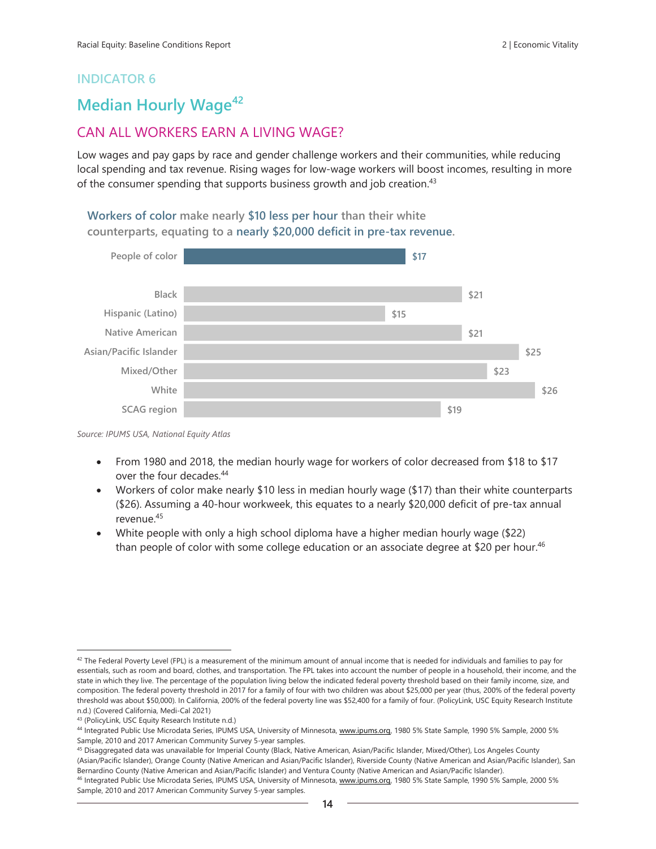## **Median Hourly Wage<sup>42</sup>**

## CAN ALL WORKERS EARN A LIVING WAGE?

Low wages and pay gaps by race and gender challenge workers and their communities, while reducing local spending and tax revenue. Rising wages for low-wage workers will boost incomes, resulting in more of the consumer spending that supports business growth and job creation.<sup>43</sup>

**Workers of color make nearly \$10 less per hour than their white counterparts, equating to a nearly \$20,000 deficit in pre-tax revenue.** 



*Source: IPUMS USA, National Equity Atlas*

- From 1980 and 2018, the median hourly wage for workers of color decreased from \$18 to \$17 over the four decades. 44
- Workers of color make nearly \$10 less in median hourly wage (\$17) than their white counterparts (\$26). Assuming a 40-hour workweek, this equates to a nearly \$20,000 deficit of pre-tax annual revenue.<sup>45</sup>
- White people with only a high school diploma have a higher median hourly wage (\$22) than people of color with some college education or an associate degree at \$20 per hour.<sup>46</sup>

45 Disaggregated data was unavailable for Imperial County (Black, Native American, Asian/Pacific Islander, Mixed/Other), Los Angeles County (Asian/Pacific Islander), Orange County (Native American and Asian/Pacific Islander), Riverside County (Native American and Asian/Pacific Islander), San Bernardino County (Native American and Asian/Pacific Islander) and Ventura County (Native American and Asian/Pacific Islander).

<sup>&</sup>lt;sup>42</sup> The Federal Poverty Level (FPL) is a measurement of the minimum amount of annual income that is needed for individuals and families to pay for essentials, such as room and board, clothes, and transportation. The FPL takes into account the number of people in a household, their income, and the state in which they live. The percentage of the population living below the indicated federal poverty threshold based on their family income, size, and composition. The federal poverty threshold in 2017 for a family of four with two children was about \$25,000 per year (thus, 200% of the federal poverty threshold was about \$50,000). In California, 200% of the federal poverty line was \$52,400 for a family of four. (PolicyLink, USC Equity Research Institute n.d.) (Covered California, Medi-Cal 2021)

<sup>43</sup> (PolicyLink, USC Equity Research Institute n.d.)

<sup>44</sup> Integrated Public Use Microdata Series, IPUMS USA, University of Minnesota, www.jpums.org, 1980 5% State Sample, 1990 5% Sample, 2000 5% Sample, 2010 and 2017 American Community Survey 5-year samples.

<sup>46</sup> Integrated Public Use Microdata Series, IPUMS USA, University of Minnesota, [www.ipums.org,](http://www.ipums.org/) 1980 5% State Sample, 1990 5% Sample, 2000 5% Sample, 2010 and 2017 American Community Survey 5-year samples.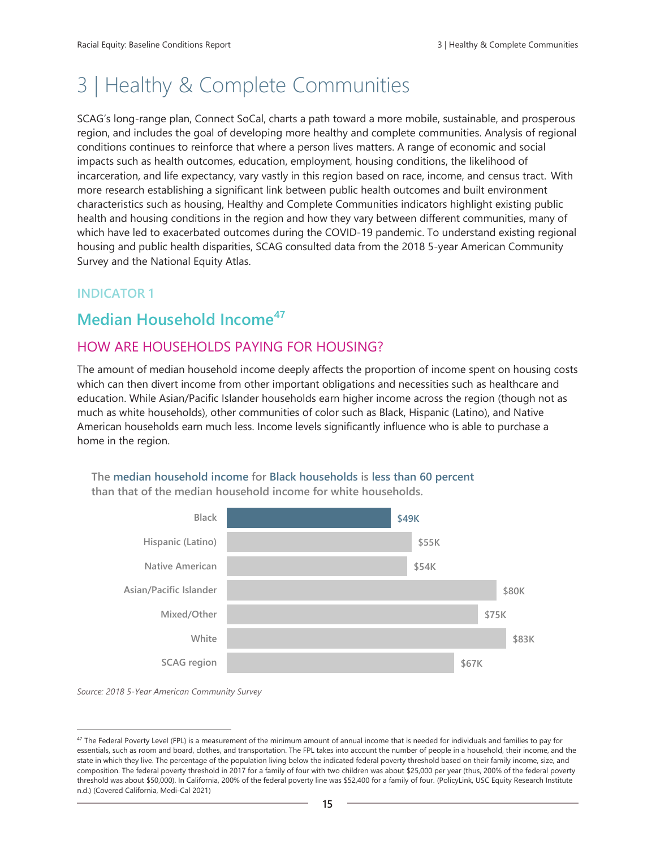# 3 | Healthy & Complete Communities

SCAG's long-range plan, Connect SoCal, charts a path toward a more mobile, sustainable, and prosperous region, and includes the goal of developing more healthy and complete communities. Analysis of regional conditions continues to reinforce that where a person lives matters. A range of economic and social impacts such as health outcomes, education, employment, housing conditions, the likelihood of incarceration, and life expectancy, vary vastly in this region based on race, income, and census tract.  With more research establishing a significant link between public health outcomes and built environment characteristics such as housing, Healthy and Complete Communities indicators highlight existing public health and housing conditions in the region and how they vary between different communities, many of which have led to exacerbated outcomes during the COVID-19 pandemic. To understand existing regional housing and public health disparities, SCAG consulted data from the 2018 5-year American Community Survey and the National Equity Atlas.

## **INDICATOR 1**

# **Median Household Income<sup>47</sup>**

## HOW ARE HOUSEHOLDS PAYING FOR HOUSING?

The amount of median household income deeply affects the proportion of income spent on housing costs which can then divert income from other important obligations and necessities such as healthcare and education. While Asian/Pacific Islander households earn higher income across the region (though not as much as white households), other communities of color such as Black, Hispanic (Latino), and Native American households earn much less. Income levels significantly influence who is able to purchase a home in the region.



**The median household income for Black households is less than 60 percent than that of the median household income for white households.**

*Source: 2018 5-Year American Community Survey*

<sup>&</sup>lt;sup>47</sup> The Federal Poverty Level (FPL) is a measurement of the minimum amount of annual income that is needed for individuals and families to pay for essentials, such as room and board, clothes, and transportation. The FPL takes into account the number of people in a household, their income, and the state in which they live. The percentage of the population living below the indicated federal poverty threshold based on their family income, size, and composition. The federal poverty threshold in 2017 for a family of four with two children was about \$25,000 per year (thus, 200% of the federal poverty threshold was about \$50,000). In California, 200% of the federal poverty line was \$52,400 for a family of four. (PolicyLink, USC Equity Research Institute n.d.) (Covered California, Medi-Cal 2021)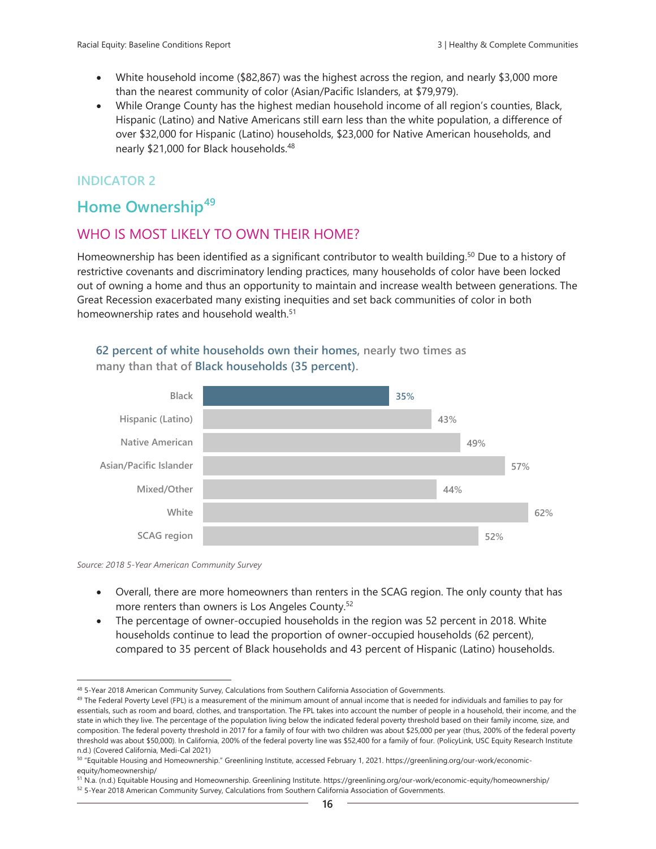- White household income (\$82,867) was the highest across the region, and nearly \$3,000 more than the nearest community of color (Asian/Pacific Islanders, at \$79,979).
- While Orange County has the highest median household income of all region's counties, Black, Hispanic (Latino) and Native Americans still earn less than the white population, a difference of over \$32,000 for Hispanic (Latino) households, \$23,000 for Native American households, and nearly \$21,000 for Black households. 48

## **Home Ownership<sup>49</sup>**

## WHO IS MOST LIKELY TO OWN THEIR HOME?

Homeownership has been identified as a significant contributor to wealth building.<sup>50</sup> Due to a history of restrictive covenants and discriminatory lending practices, many households of color have been locked out of owning a home and thus an opportunity to maintain and increase wealth between generations. The Great Recession exacerbated many existing inequities and set back communities of color in both homeownership rates and household wealth.<sup>51</sup>

#### **62 percent of white households own their homes, nearly two times as many than that of Black households (35 percent).**





- Overall, there are more homeowners than renters in the SCAG region. The only county that has more renters than owners is Los Angeles County.<sup>52</sup>
- The percentage of owner-occupied households in the region was 52 percent in 2018. White households continue to lead the proportion of owner-occupied households (62 percent), compared to 35 percent of Black households and 43 percent of Hispanic (Latino) households.

<sup>48 5-</sup>Year 2018 American Community Survey, Calculations from Southern California Association of Governments.

<sup>&</sup>lt;sup>49</sup> The Federal Poverty Level (FPL) is a measurement of the minimum amount of annual income that is needed for individuals and families to pay for essentials, such as room and board, clothes, and transportation. The FPL takes into account the number of people in a household, their income, and the state in which they live. The percentage of the population living below the indicated federal poverty threshold based on their family income, size, and composition. The federal poverty threshold in 2017 for a family of four with two children was about \$25,000 per year (thus, 200% of the federal poverty threshold was about \$50,000). In California, 200% of the federal poverty line was \$52,400 for a family of four. (PolicyLink, USC Equity Research Institute n.d.) (Covered California, Medi-Cal 2021)

<sup>50</sup> "Equitable Housing and Homeownership." Greenlining Institute, accessed February 1, 2021. https://greenlining.org/our-work/economicequity/homeownership/

<sup>51</sup> N.a. (n.d.) Equitable Housing and Homeownership. Greenlining Institute. https://greenlining.org/our-work/economic-equity/homeownership/ <sup>52</sup> 5-Year 2018 American Community Survey, Calculations from Southern California Association of Governments.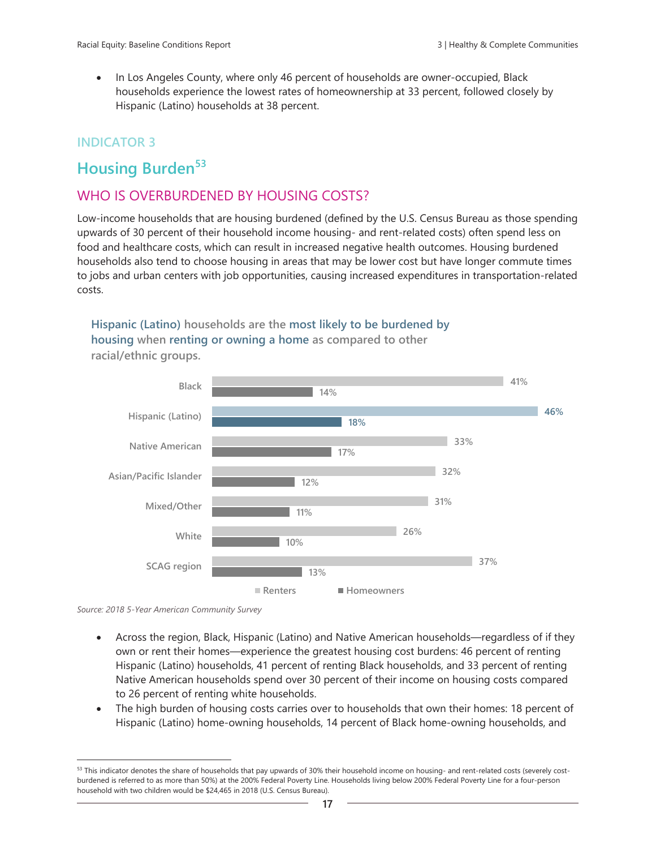• In Los Angeles County, where only 46 percent of households are owner-occupied, Black households experience the lowest rates of homeownership at 33 percent, followed closely by Hispanic (Latino) households at 38 percent.

### **INDICATOR 3**

## **Housing Burden<sup>53</sup>**

## WHO IS OVERBURDENED BY HOUSING COSTS?

Low-income households that are housing burdened (defined by the U.S. Census Bureau as those spending upwards of 30 percent of their household income housing- and rent-related costs) often spend less on food and healthcare costs, which can result in increased negative health outcomes. Housing burdened households also tend to choose housing in areas that may be lower cost but have longer commute times to jobs and urban centers with job opportunities, causing increased expenditures in transportation-related costs.

**Hispanic (Latino) households are the most likely to be burdened by housing when renting or owning a home as compared to other** 



**racial/ethnic groups.**

*Source: 2018 5-Year American Community Survey*

- Across the region, Black, Hispanic (Latino) and Native American households—regardless of if they own or rent their homes—experience the greatest housing cost burdens: 46 percent of renting Hispanic (Latino) households, 41 percent of renting Black households, and 33 percent of renting Native American households spend over 30 percent of their income on housing costs compared to 26 percent of renting white households.
- The high burden of housing costs carries over to households that own their homes: 18 percent of Hispanic (Latino) home-owning households, 14 percent of Black home-owning households, and

<sup>53</sup> This indicator denotes the share of households that pay upwards of 30% their household income on housing- and rent-related costs (severely costburdened is referred to as more than 50%) at the 200% Federal Poverty Line. Households living below 200% Federal Poverty Line for a four-person household with two children would be \$24,465 in 2018 (U.S. Census Bureau).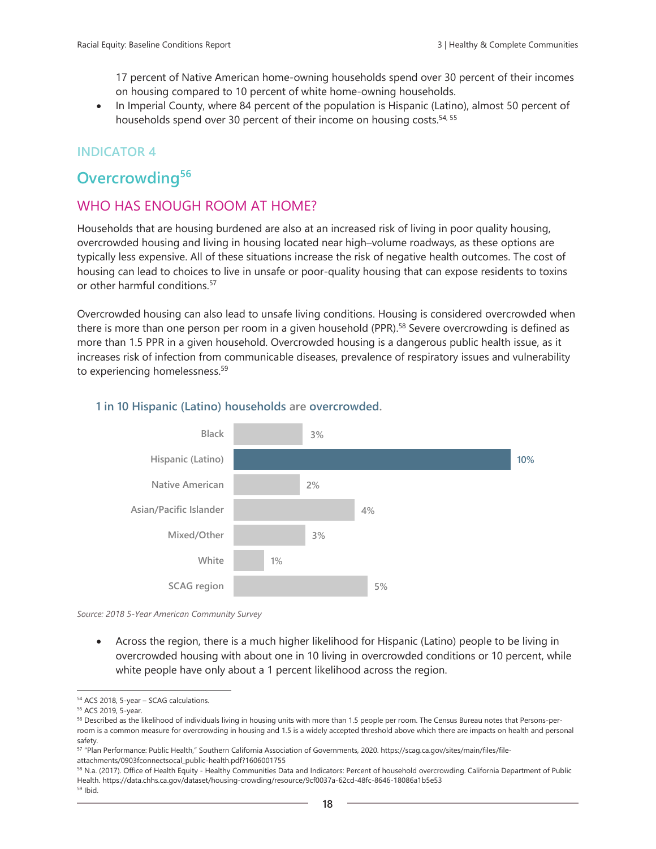17 percent of Native American home-owning households spend over 30 percent of their incomes on housing compared to 10 percent of white home-owning households.

In Imperial County, where 84 percent of the population is Hispanic (Latino), almost 50 percent of households spend over 30 percent of their income on housing costs.<sup>54, 55</sup>

## **INDICATOR 4**

# **Overcrowding<sup>56</sup>**

## WHO HAS ENOUGH ROOM AT HOME?

Households that are housing burdened are also at an increased risk of living in poor quality housing, overcrowded housing and living in housing located near high–volume roadways, as these options are typically less expensive. All of these situations increase the risk of negative health outcomes. The cost of housing can lead to choices to live in unsafe or poor-quality housing that can expose residents to toxins or other harmful conditions.<sup>57</sup>

Overcrowded housing can also lead to unsafe living conditions. Housing is considered overcrowded when there is more than one person per room in a given household (PPR).<sup>58</sup> Severe overcrowding is defined as more than 1.5 PPR in a given household. Overcrowded housing is a dangerous public health issue, as it increases risk of infection from communicable diseases, prevalence of respiratory issues and vulnerability to experiencing homelessness.<sup>59</sup>



#### **1 in 10 Hispanic (Latino) households are overcrowded.**

*Source: 2018 5-Year American Community Survey*

• Across the region, there is a much higher likelihood for Hispanic (Latino) people to be living in overcrowded housing with about one in 10 living in overcrowded conditions or 10 percent, while white people have only about a 1 percent likelihood across the region.

<sup>54</sup> ACS 2018, 5-year – SCAG calculations.

<sup>55</sup> ACS 2019, 5-year.

<sup>56</sup> Described as the likelihood of individuals living in housing units with more than 1.5 people per room. The Census Bureau notes that Persons-perroom is a common measure for overcrowding in housing and 1.5 is a widely accepted threshold above which there are impacts on health and personal safety.

<sup>57</sup> "Plan Performance: Public Health," Southern California Association of Governments, 2020. https://scag.ca.gov/sites/main/files/fileattachments/0903fconnectsocal\_public-health.pdf?1606001755

<sup>58</sup> N.a. (2017). Office of Health Equity - Healthy Communities Data and Indicators: Percent of household overcrowding. California Department of Public Health. https://data.chhs.ca.gov/dataset/housing-crowding/resource/9cf0037a-62cd-48fc-8646-18086a1b5e53

<sup>59</sup> Ibid.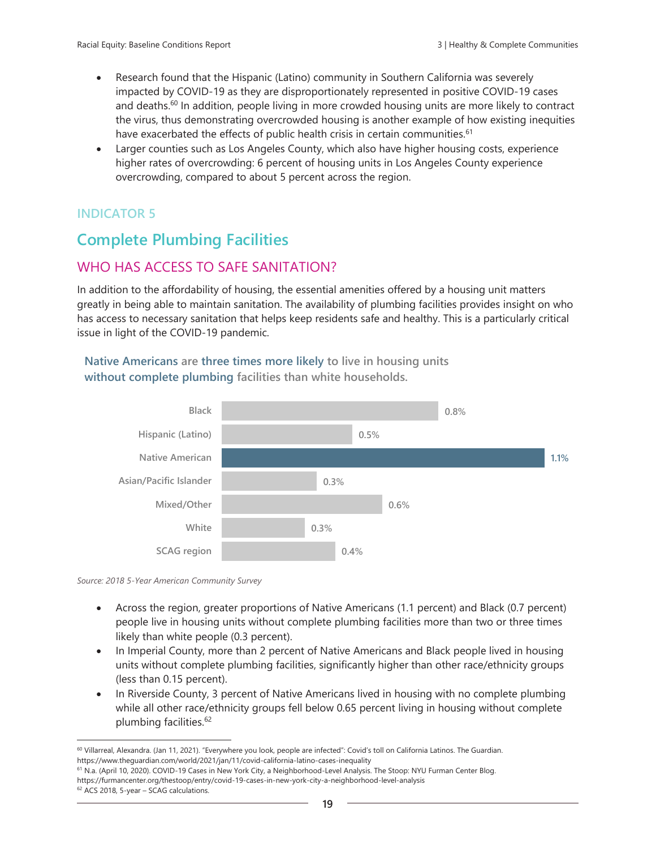- Research found that the Hispanic (Latino) community in Southern California was severely impacted by COVID-19 as they are disproportionately represented in positive COVID-19 cases and deaths.<sup>60</sup> In addition, people living in more crowded housing units are more likely to contract the virus, thus demonstrating overcrowded housing is another example of how existing inequities have exacerbated the effects of public health crisis in certain communities.<sup>61</sup>
- Larger counties such as Los Angeles County, which also have higher housing costs, experience higher rates of overcrowding: 6 percent of housing units in Los Angeles County experience overcrowding, compared to about 5 percent across the region.

# **Complete Plumbing Facilities**

## WHO HAS ACCESS TO SAFE SANITATION?

In addition to the affordability of housing, the essential amenities offered by a housing unit matters greatly in being able to maintain sanitation. The availability of plumbing facilities provides insight on who has access to necessary sanitation that helps keep residents safe and healthy. This is a particularly critical issue in light of the COVID-19 pandemic.

#### **Native Americans are three times more likely to live in housing units without complete plumbing facilities than white households.**



*Source: 2018 5-Year American Community Survey*

- Across the region, greater proportions of Native Americans (1.1 percent) and Black (0.7 percent) people live in housing units without complete plumbing facilities more than two or three times likely than white people (0.3 percent).
- In Imperial County, more than 2 percent of Native Americans and Black people lived in housing units without complete plumbing facilities, significantly higher than other race/ethnicity groups (less than 0.15 percent).
- In Riverside County, 3 percent of Native Americans lived in housing with no complete plumbing while all other race/ethnicity groups fell below 0.65 percent living in housing without complete plumbing facilities. 62

<sup>60</sup> Villarreal, Alexandra. (Jan 11, 2021). "Everywhere you look, people are infected": Covid's toll on California Latinos. The Guardian. https://www.theguardian.com/world/2021/jan/11/covid-california-latino-cases-inequality

<sup>61</sup> N.a. (April 10, 2020). COVID-19 Cases in New York City, a Neighborhood-Level Analysis. The Stoop: NYU Furman Center Blog.

https://furmancenter.org/thestoop/entry/covid-19-cases-in-new-york-city-a-neighborhood-level-analysis

<sup>62</sup> ACS 2018, 5-year – SCAG calculations.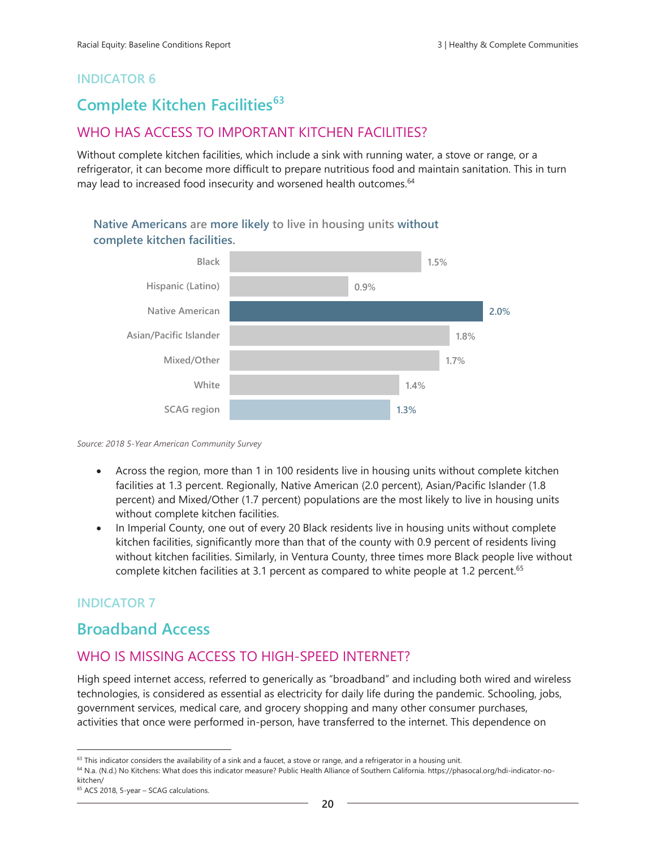# **Complete Kitchen Facilities<sup>63</sup>**

## WHO HAS ACCESS TO IMPORTANT KITCHEN FACILITIES?

Without complete kitchen facilities, which include a sink with running water, a stove or range, or a refrigerator, it can become more difficult to prepare nutritious food and maintain sanitation. This in turn may lead to increased food insecurity and worsened health outcomes.<sup>64</sup>

**Native Americans are more likely to live in housing units without complete kitchen facilities.**



*Source: 2018 5-Year American Community Survey*

- Across the region, more than 1 in 100 residents live in housing units without complete kitchen facilities at 1.3 percent. Regionally, Native American (2.0 percent), Asian/Pacific Islander (1.8 percent) and Mixed/Other (1.7 percent) populations are the most likely to live in housing units without complete kitchen facilities.
- In Imperial County, one out of every 20 Black residents live in housing units without complete kitchen facilities, significantly more than that of the county with 0.9 percent of residents living without kitchen facilities. Similarly, in Ventura County, three times more Black people live without complete kitchen facilities at 3.1 percent as compared to white people at 1.2 percent.<sup>65</sup>

## **INDICATOR 7**

## **Broadband Access**

## WHO IS MISSING ACCESS TO HIGH-SPEED INTERNET?

High speed internet access, referred to generically as "broadband" and including both wired and wireless technologies, is considered as essential as electricity for daily life during the pandemic. Schooling, jobs, government services, medical care, and grocery shopping and many other consumer purchases, activities that once were performed in-person, have transferred to the internet. This dependence on

 $63$  This indicator considers the availability of a sink and a faucet, a stove or range, and a refrigerator in a housing unit.

<sup>64</sup> N.a. (N.d.) No Kitchens: What does this indicator measure? Public Health Alliance of Southern California. https://phasocal.org/hdi-indicator-nokitchen/

<sup>65</sup> ACS 2018, 5-year – SCAG calculations.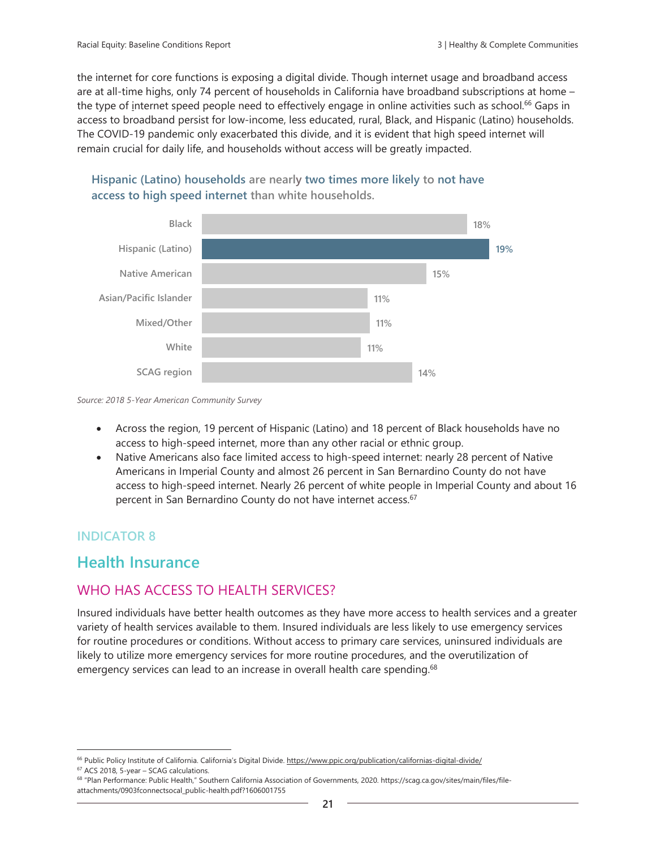the internet for core functions is exposing a digital divide. Though internet usage and broadband access are at all-time highs, only 74 percent of households in California have broadband subscriptions at home – the type of internet speed people need to effectively engage in online activities such as school.<sup>66</sup> Gaps in access to broadband persist for low-income, less educated, rural, Black, and Hispanic (Latino) households. The COVID-19 pandemic only exacerbated this divide, and it is evident that high speed internet will remain crucial for daily life, and households without access will be greatly impacted.



## **Hispanic (Latino) households are nearly two times more likely to not have access to high speed internet than white households.**

*Source: 2018 5-Year American Community Survey*

- Across the region, 19 percent of Hispanic (Latino) and 18 percent of Black households have no access to high-speed internet, more than any other racial or ethnic group.
- Native Americans also face limited access to high-speed internet: nearly 28 percent of Native Americans in Imperial County and almost 26 percent in San Bernardino County do not have access to high-speed internet. Nearly 26 percent of white people in Imperial County and about 16 percent in San Bernardino County do not have internet access. 67

## **INDICATOR 8**

## **Health Insurance**

## WHO HAS ACCESS TO HEALTH SERVICES?

Insured individuals have better health outcomes as they have more access to health services and a greater variety of health services available to them. Insured individuals are less likely to use emergency services for routine procedures or conditions. Without access to primary care services, uninsured individuals are likely to utilize more emergency services for more routine procedures, and the overutilization of emergency services can lead to an increase in overall health care spending.<sup>68</sup>

<sup>&</sup>lt;sup>66</sup> Public Policy Institute of California. California's Digital Divide. <https://www.ppic.org/publication/californias-digital-divide/>

<sup>67</sup> ACS 2018, 5-year – SCAG calculations.

<sup>68</sup> "Plan Performance: Public Health," Southern California Association of Governments, 2020. https://scag.ca.gov/sites/main/files/fileattachments/0903fconnectsocal\_public-health.pdf?1606001755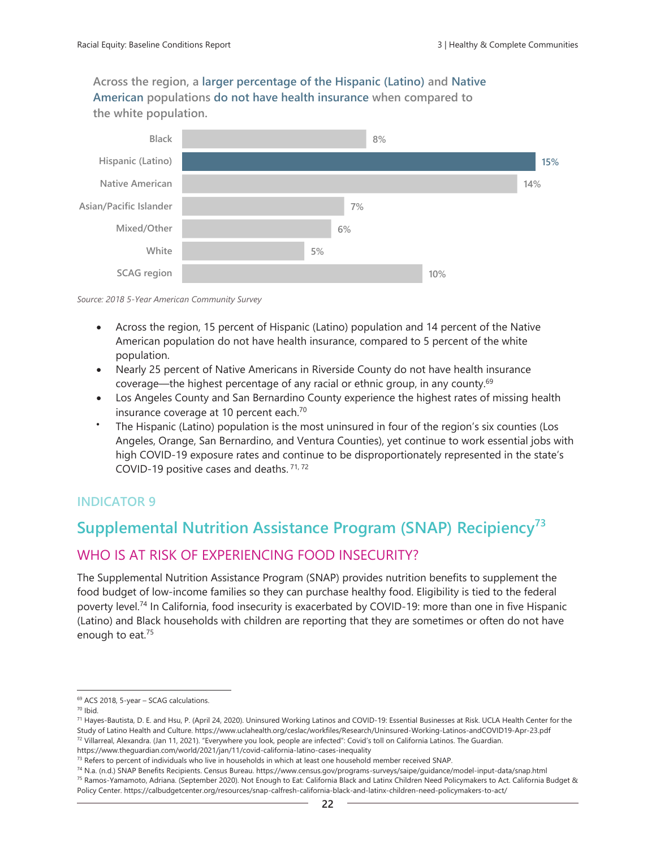**Across the region, a larger percentage of the Hispanic (Latino) and Native American populations do not have health insurance when compared to the white population.**



*Source: 2018 5-Year American Community Survey*

- Across the region, 15 percent of Hispanic (Latino) population and 14 percent of the Native American population do not have health insurance, compared to 5 percent of the white population.
- Nearly 25 percent of Native Americans in Riverside County do not have health insurance coverage—the highest percentage of any racial or ethnic group, in any county.<sup>69</sup>
- Los Angeles County and San Bernardino County experience the highest rates of missing health insurance coverage at 10 percent each.<sup>70</sup>
- The Hispanic (Latino) population is the most uninsured in four of the region's six counties (Los Angeles, Orange, San Bernardino, and Ventura Counties), yet continue to work essential jobs with high COVID-19 exposure rates and continue to be disproportionately represented in the state's COVID-19 positive cases and deaths.<sup>71,72</sup>

## **INDICATOR 9**

# **Supplemental Nutrition Assistance Program (SNAP) Recipiency<sup>73</sup>**

## WHO IS AT RISK OF EXPERIENCING FOOD INSECURITY?

The Supplemental Nutrition Assistance Program (SNAP) provides nutrition benefits to supplement the food budget of low-income families so they can purchase healthy food. Eligibility is tied to the federal poverty level.<sup>74</sup> In California, food insecurity is exacerbated by COVID-19: more than one in five Hispanic (Latino) and Black households with children are reporting that they are sometimes or often do not have enough to eat.<sup>75</sup>

<sup>69</sup> ACS 2018, 5-year – SCAG calculations.

<sup>70</sup> Ibid.

<sup>71</sup> Hayes-Bautista, D. E. and Hsu, P. (April 24, 2020). Uninsured Working Latinos and COVID-19: Essential Businesses at Risk. UCLA Health Center for the Study of Latino Health and Culture. https://www.uclahealth.org/ceslac/workfiles/Research/Uninsured-Working-Latinos-andCOVID19-Apr-23.pdf 72 Villarreal, Alexandra. (Jan 11, 2021). "Everywhere you look, people are infected": Covid's toll on California Latinos. The Guardian. https://www.theguardian.com/world/2021/jan/11/covid-california-latino-cases-inequality

 $73$  Refers to percent of individuals who live in households in which at least one household member received SNAP.

<sup>74</sup> N.a. (n.d.) SNAP Benefits Recipients. Census Bureau. https://www.census.gov/programs-surveys/saipe/guidance/model-input-data/snap.html <sup>75</sup> Ramos-Yamamoto, Adriana. (September 2020). Not Enough to Eat: California Black and Latinx Children Need Policymakers to Act. California Budget & Policy Center. https://calbudgetcenter.org/resources/snap-calfresh-california-black-and-latinx-children-need-policymakers-to-act/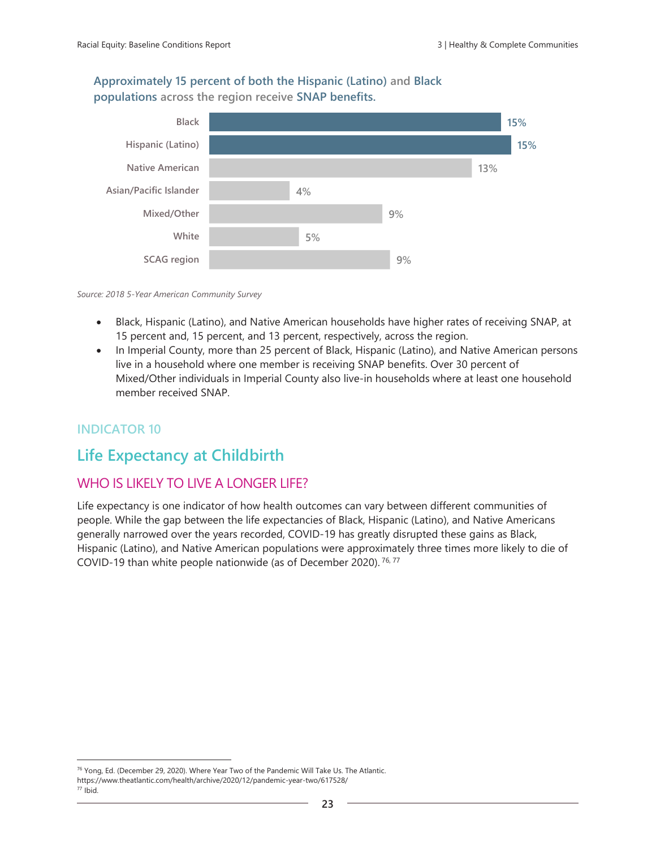#### **Approximately 15 percent of both the Hispanic (Latino) and Black populations across the region receive SNAP benefits.**



#### *Source: 2018 5-Year American Community Survey*

- Black, Hispanic (Latino), and Native American households have higher rates of receiving SNAP, at 15 percent and, 15 percent, and 13 percent, respectively, across the region.
- In Imperial County, more than 25 percent of Black, Hispanic (Latino), and Native American persons live in a household where one member is receiving SNAP benefits. Over 30 percent of Mixed/Other individuals in Imperial County also live-in households where at least one household member received SNAP.

#### **INDICATOR 10**

## **Life Expectancy at Childbirth**

#### WHO IS LIKELY TO LIVE A LONGER LIFE?

Life expectancy is one indicator of how health outcomes can vary between different communities of people. While the gap between the life expectancies of Black, Hispanic (Latino), and Native Americans generally narrowed over the years recorded, COVID-19 has greatly disrupted these gains as Black, Hispanic (Latino), and Native American populations were approximately three times more likely to die of COVID-19 than white people nationwide (as of December 2020). 76, <sup>77</sup>

<sup>&</sup>lt;sup>76</sup> Yong, Ed. (December 29, 2020). Where Year Two of the Pandemic Will Take Us. The Atlantic. https://www.theatlantic.com/health/archive/2020/12/pandemic-year-two/617528/  $77$  Ibid.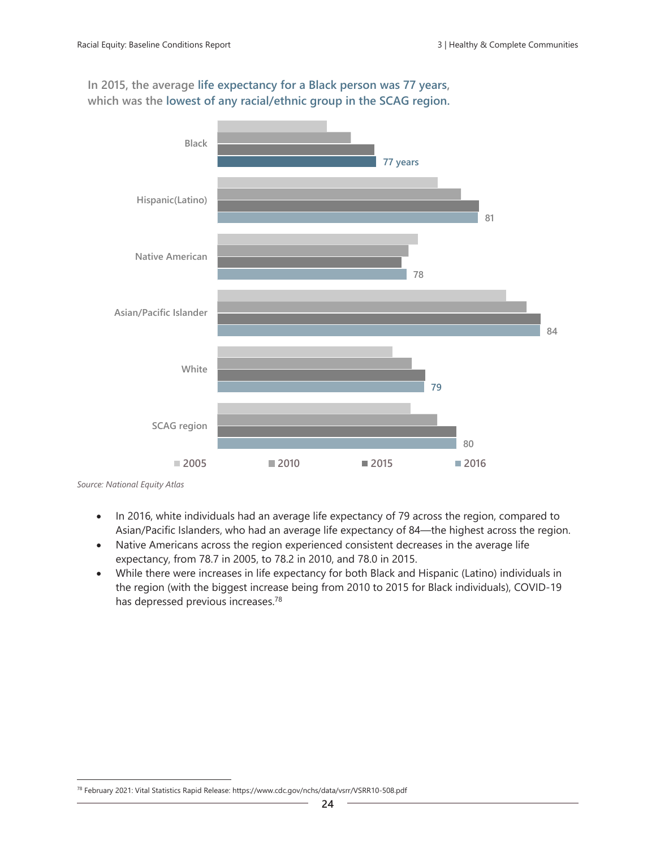**In 2015, the average life expectancy for a Black person was 77 years, which was the lowest of any racial/ethnic group in the SCAG region.**



*Source: National Equity Atlas*

- In 2016, white individuals had an average life expectancy of 79 across the region, compared to Asian/Pacific Islanders, who had an average life expectancy of 84—the highest across the region.
- Native Americans across the region experienced consistent decreases in the average life expectancy, from 78.7 in 2005, to 78.2 in 2010, and 78.0 in 2015.
- While there were increases in life expectancy for both Black and Hispanic (Latino) individuals in the region (with the biggest increase being from 2010 to 2015 for Black individuals), COVID-19 has depressed previous increases.<sup>78</sup>

<sup>78</sup> February 2021: Vital Statistics Rapid Release: https://www.cdc.gov/nchs/data/vsrr/VSRR10-508.pdf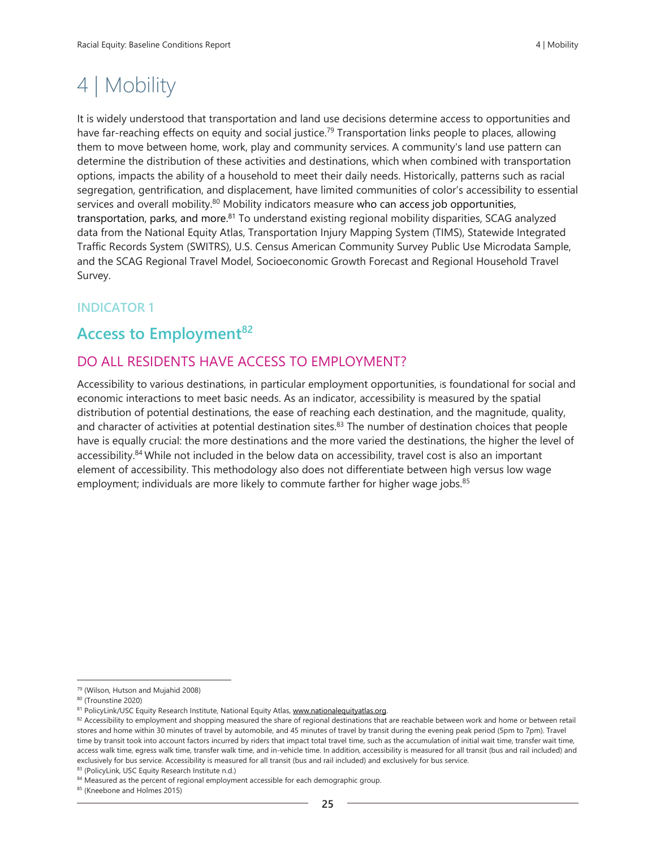# 4 | Mobility

It is widely understood that transportation and land use decisions determine access to opportunities and have far-reaching effects on equity and social justice.<sup>79</sup> Transportation links people to places, allowing them to move between home, work, play and community services. A community's land use pattern can determine the distribution of these activities and destinations, which when combined with transportation options, impacts the ability of a household to meet their daily needs. Historically, patterns such as racial segregation, gentrification, and displacement, have limited communities of color's accessibility to essential services and overall mobility. $80$  Mobility indicators measure who can access job opportunities, transportation, parks, and more.<sup>81</sup> To understand existing regional mobility disparities, SCAG analyzed data from the National Equity Atlas, Transportation Injury Mapping System (TIMS), Statewide Integrated Traffic Records System (SWITRS), U.S. Census American Community Survey Public Use Microdata Sample, and the SCAG Regional Travel Model, Socioeconomic Growth Forecast and Regional Household Travel Survey.

## **INDICATOR 1**

# **Access to Employment<sup>82</sup>**

## DO ALL RESIDENTS HAVE ACCESS TO EMPLOYMENT?

Accessibility to various destinations, in particular employment opportunities, is foundational for social and economic interactions to meet basic needs. As an indicator, accessibility is measured by the spatial distribution of potential destinations, the ease of reaching each destination, and the magnitude, quality, and character of activities at potential destination sites.<sup>83</sup> The number of destination choices that people have is equally crucial: the more destinations and the more varied the destinations, the higher the level of accessibility.<sup>84</sup> While not included in the below data on accessibility, travel cost is also an important element of accessibility. This methodology also does not differentiate between high versus low wage employment; individuals are more likely to commute farther for higher wage jobs.<sup>85</sup>

<sup>79</sup> (Wilson, Hutson and Mujahid 2008)

<sup>80</sup> (Trounstine 2020)

<sup>81</sup> PolicyLink/USC Equity Research Institute, National Equity Atlas, www.nationalequityatlas.org.

<sup>82</sup> Accessibility to employment and shopping measured the share of regional destinations that are reachable between work and home or between retail stores and home within 30 minutes of travel by automobile, and 45 minutes of travel by transit during the evening peak period (5pm to 7pm). Travel time by transit took into account factors incurred by riders that impact total travel time, such as the accumulation of initial wait time, transfer wait time, access walk time, egress walk time, transfer walk time, and in-vehicle time. In addition, accessibility is measured for all transit (bus and rail included) and exclusively for bus service. Accessibility is measured for all transit (bus and rail included) and exclusively for bus service.

<sup>83 (</sup>PolicyLink, USC Equity Research Institute n.d.)

<sup>&</sup>lt;sup>84</sup> Measured as the percent of regional employment accessible for each demographic group.

<sup>85 (</sup>Kneebone and Holmes 2015)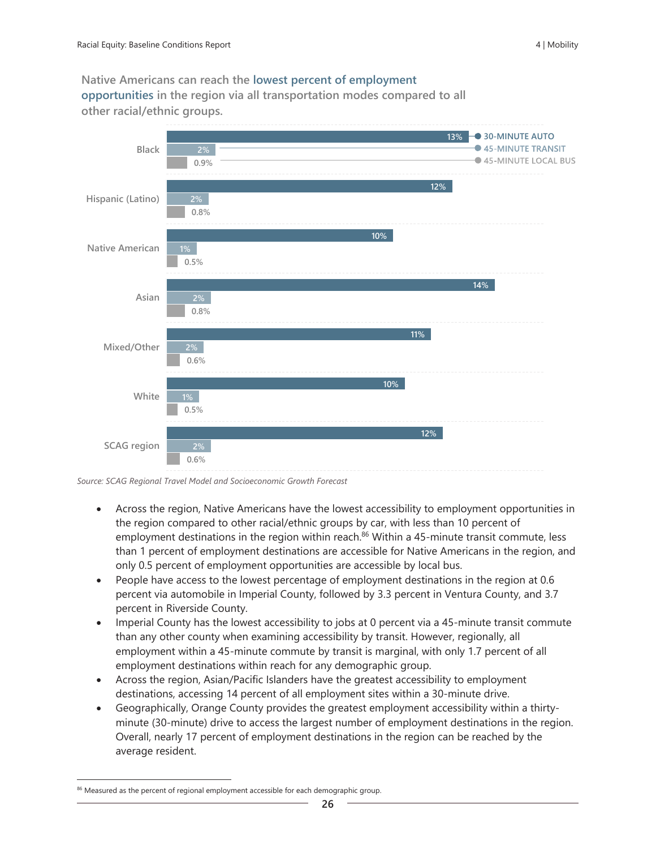**Native Americans can reach the lowest percent of employment opportunities in the region via all transportation modes compared to all other racial/ethnic groups.** 



*Source: SCAG Regional Travel Model and Socioeconomic Growth Forecast*

- Across the region, Native Americans have the lowest accessibility to employment opportunities in the region compared to other racial/ethnic groups by car, with less than 10 percent of employment destinations in the region within reach.<sup>86</sup> Within a 45-minute transit commute, less than 1 percent of employment destinations are accessible for Native Americans in the region, and only 0.5 percent of employment opportunities are accessible by local bus.
- People have access to the lowest percentage of employment destinations in the region at 0.6 percent via automobile in Imperial County, followed by 3.3 percent in Ventura County, and 3.7 percent in Riverside County.
- Imperial County has the lowest accessibility to jobs at 0 percent via a 45-minute transit commute than any other county when examining accessibility by transit. However, regionally, all employment within a 45-minute commute by transit is marginal, with only 1.7 percent of all employment destinations within reach for any demographic group.
- Across the region, Asian/Pacific Islanders have the greatest accessibility to employment destinations, accessing 14 percent of all employment sites within a 30-minute drive.
- Geographically, Orange County provides the greatest employment accessibility within a thirtyminute (30-minute) drive to access the largest number of employment destinations in the region. Overall, nearly 17 percent of employment destinations in the region can be reached by the average resident.

<sup>&</sup>lt;sup>86</sup> Measured as the percent of regional employment accessible for each demographic group.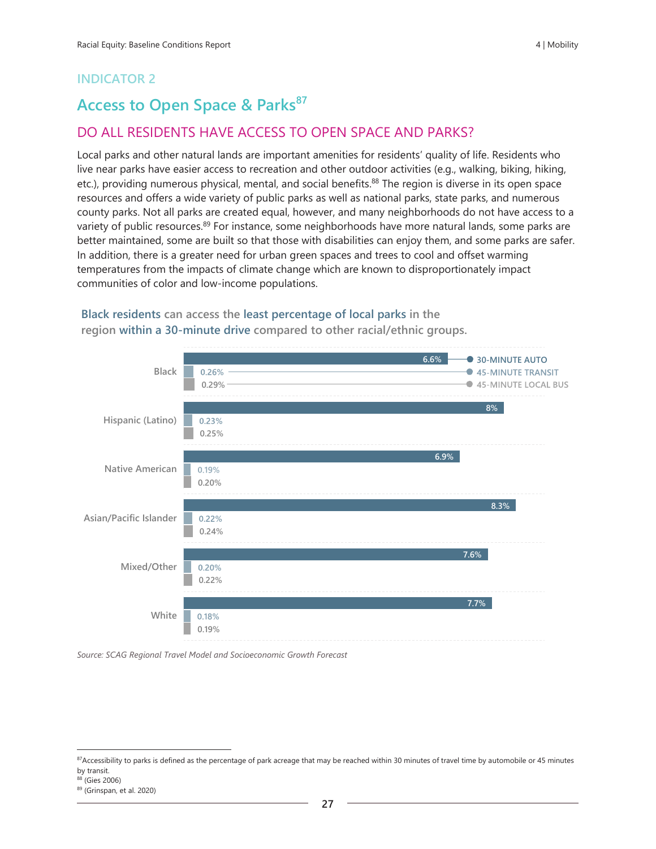# **Access to Open Space & Parks<sup>87</sup>**

## DO ALL RESIDENTS HAVE ACCESS TO OPEN SPACE AND PARKS?

Local parks and other natural lands are important amenities for residents' quality of life. Residents who live near parks have easier access to recreation and other outdoor activities (e.g., walking, biking, hiking, etc.), providing numerous physical, mental, and social benefits.<sup>88</sup> The region is diverse in its open space resources and offers a wide variety of public parks as well as national parks, state parks, and numerous county parks. Not all parks are created equal, however, and many neighborhoods do not have access to a variety of public resources.<sup>89</sup> For instance, some neighborhoods have more natural lands, some parks are better maintained, some are built so that those with disabilities can enjoy them, and some parks are safer. In addition, there is a greater need for urban green spaces and trees to cool and offset warming temperatures from the impacts of climate change which are known to disproportionately impact communities of color and low-income populations.



**region within a 30-minute drive compared to other racial/ethnic groups.** 

**Black residents can access the least percentage of local parks in the** 

*Source: SCAG Regional Travel Model and Socioeconomic Growth Forecast*

<sup>&</sup>lt;sup>87</sup>Accessibility to parks is defined as the percentage of park acreage that may be reached within 30 minutes of travel time by automobile or 45 minutes by transit.

<sup>88</sup> (Gies 2006)

<sup>89</sup> (Grinspan, et al. 2020)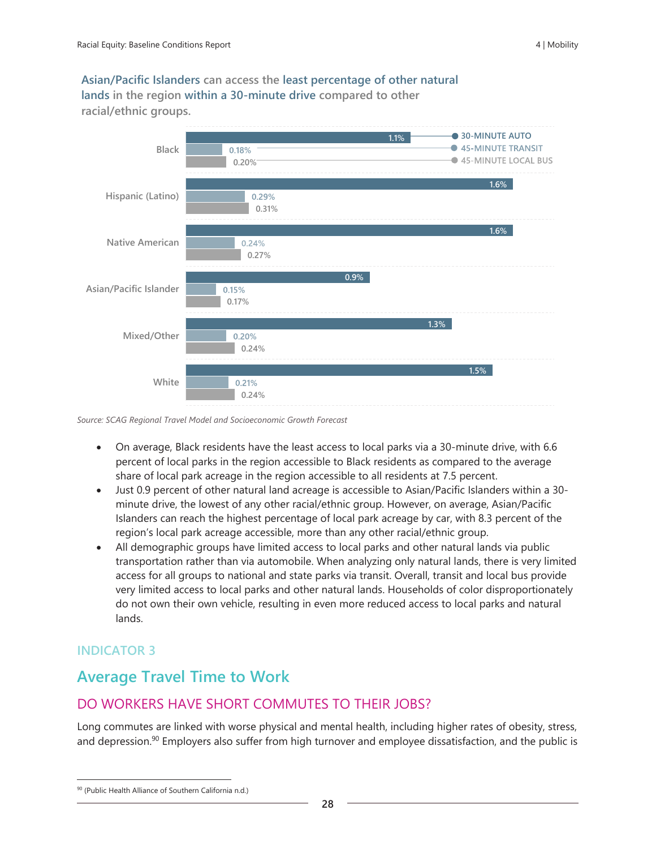**Asian/Pacific Islanders can access the least percentage of other natural lands in the region within a 30-minute drive compared to other racial/ethnic groups.** 



*Source: SCAG Regional Travel Model and Socioeconomic Growth Forecast*

- On average, Black residents have the least access to local parks via a 30-minute drive, with 6.6 percent of local parks in the region accessible to Black residents as compared to the average share of local park acreage in the region accessible to all residents at 7.5 percent.
- Just 0.9 percent of other natural land acreage is accessible to Asian/Pacific Islanders within a 30 minute drive, the lowest of any other racial/ethnic group. However, on average, Asian/Pacific Islanders can reach the highest percentage of local park acreage by car, with 8.3 percent of the region's local park acreage accessible, more than any other racial/ethnic group.
- All demographic groups have limited access to local parks and other natural lands via public transportation rather than via automobile. When analyzing only natural lands, there is very limited access for all groups to national and state parks via transit. Overall, transit and local bus provide very limited access to local parks and other natural lands. Households of color disproportionately do not own their own vehicle, resulting in even more reduced access to local parks and natural lands.

## **INDICATOR 3**

# **Average Travel Time to Work**

## DO WORKERS HAVE SHORT COMMUTES TO THEIR JOBS?

Long commutes are linked with worse physical and mental health, including higher rates of obesity, stress, and depression.<sup>90</sup> Employers also suffer from high turnover and employee dissatisfaction, and the public is

<sup>90 (</sup>Public Health Alliance of Southern California n.d.)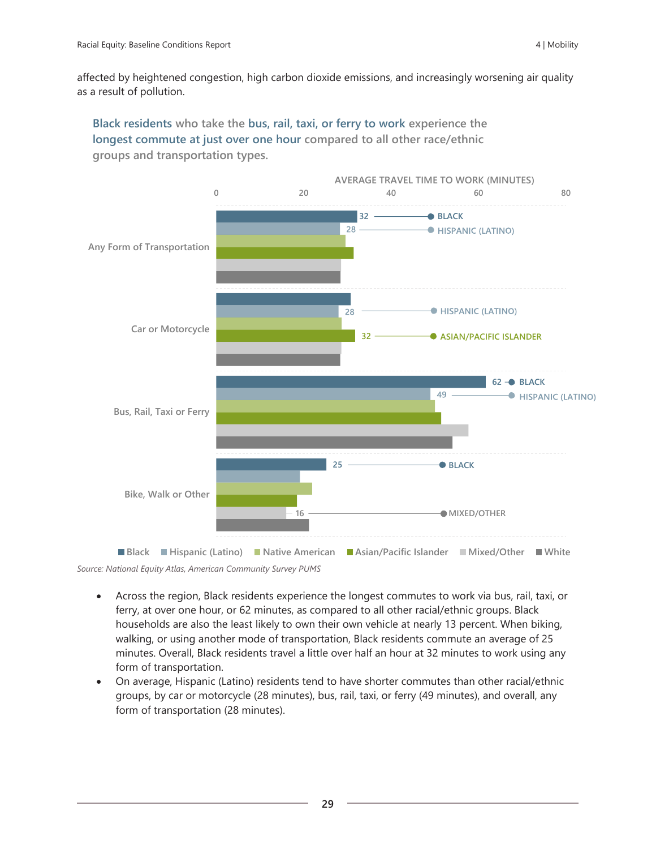affected by heightened congestion, high carbon dioxide emissions, and increasingly worsening air quality as a result of pollution.

**Black residents who take the bus, rail, taxi, or ferry to work experience the longest commute at just over one hour compared to all other race/ethnic groups and transportation types.** 



*Source: National Equity Atlas, American Community Survey PUMS* **Black Hispanic (Latino) Native American Asian/Pacific Islander Mixed/Other White**

- Across the region, Black residents experience the longest commutes to work via bus, rail, taxi, or ferry, at over one hour, or 62 minutes, as compared to all other racial/ethnic groups. Black households are also the least likely to own their own vehicle at nearly 13 percent. When biking, walking, or using another mode of transportation, Black residents commute an average of 25 minutes. Overall, Black residents travel a little over half an hour at 32 minutes to work using any form of transportation.
- On average, Hispanic (Latino) residents tend to have shorter commutes than other racial/ethnic groups, by car or motorcycle (28 minutes), bus, rail, taxi, or ferry (49 minutes), and overall, any form of transportation (28 minutes).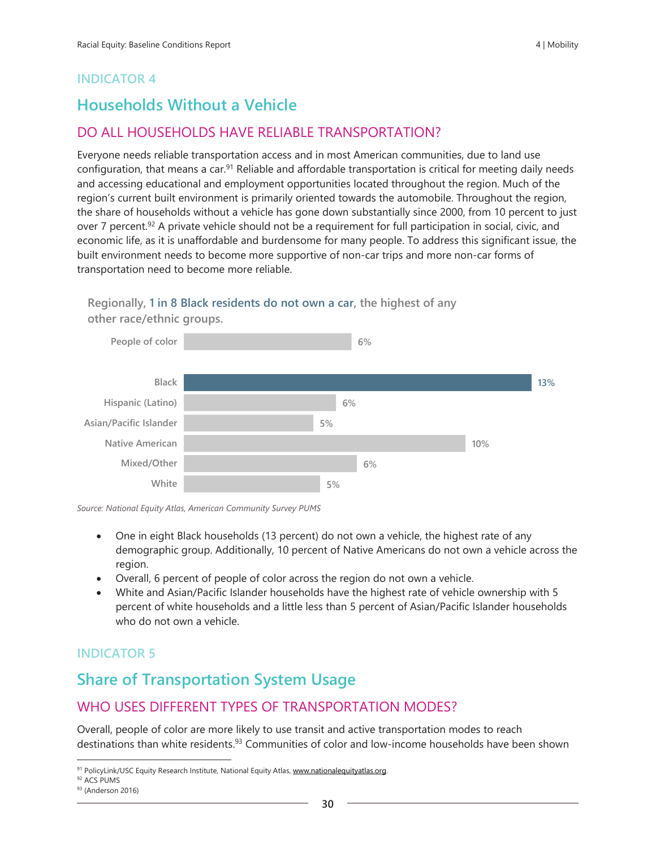# **Households Without a Vehicle**

## DO ALL HOUSEHOLDS HAVE RELIABLE TRANSPORTATION?

Everyone needs reliable transportation access and in most American communities, due to land use configuration, that means a car.<sup>91</sup> Reliable and affordable transportation is critical for meeting daily needs and accessing educational and employment opportunities located throughout the region. Much of the region's current built environment is primarily oriented towards the automobile. Throughout the region, the share of households without a vehicle has gone down substantially since 2000, from 10 percent to just over 7 percent.<sup>92</sup> A private vehicle should not be a requirement for full participation in social, civic, and economic life, as it is unaffordable and burdensome for many people. To address this significant issue, the built environment needs to become more supportive of non-car trips and more non-car forms of transportation need to become more reliable.

#### **Regionally, 1 in 8 Black residents do not own a car, the highest of any other race/ethnic groups.**



*Source: National Equity Atlas, American Community Survey PUMS*

- One in eight Black households (13 percent) do not own a vehicle, the highest rate of any demographic group. Additionally, 10 percent of Native Americans do not own a vehicle across the region.
- Overall, 6 percent of people of color across the region do not own a vehicle.
- White and Asian/Pacific Islander households have the highest rate of vehicle ownership with 5 percent of white households and a little less than 5 percent of Asian/Pacific Islander households who do not own a vehicle.

## **INDICATOR 5**

# **Share of Transportation System Usage**

## WHO USES DIFFERENT TYPES OF TRANSPORTATION MODES?

Overall, people of color are more likely to use transit and active transportation modes to reach destinations than white residents.<sup>93</sup> Communities of color and low-income households have been shown

<sup>91</sup> PolicyLink/USC Equity Research Institute, National Equity Atlas, [www.nationalequityatlas.org.](http://www.nationalequityatlas.org/)

<sup>92</sup> ACS PUMS

<sup>93 (</sup>Anderson 2016)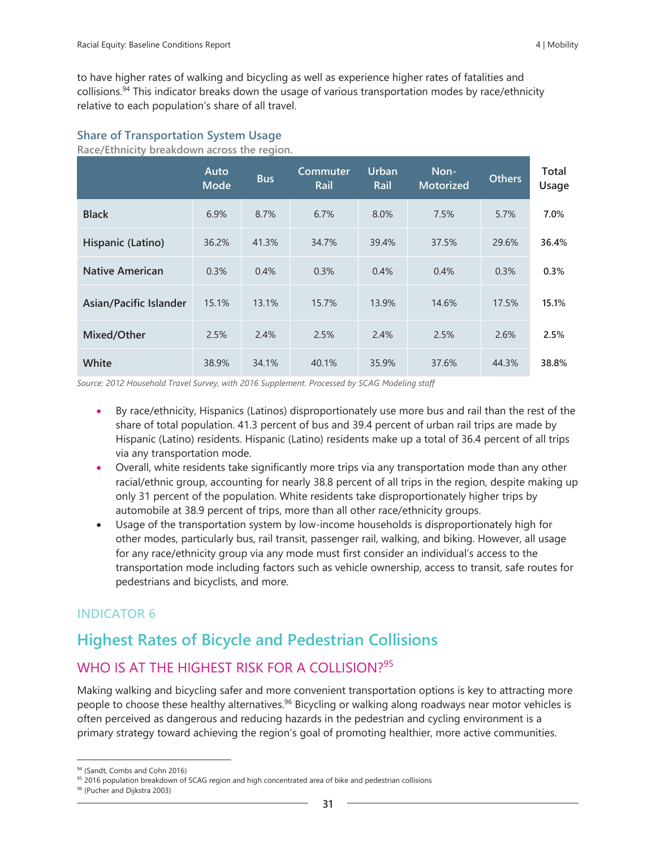to have higher rates of walking and bicycling as well as experience higher rates of fatalities and collisions.<sup>94</sup> This indicator breaks down the usage of various transportation modes by race/ethnicity relative to each population's share of all travel.

#### **Share of Transportation System Usage**

**Race/Ethnicity breakdown across the region.**

|                        | Auto<br><b>Mode</b> | <b>Bus</b> | Commuter<br>Rail | Urban<br>Rail | Non-<br><b>Motorized</b> | <b>Others</b> | Total<br>Usage |
|------------------------|---------------------|------------|------------------|---------------|--------------------------|---------------|----------------|
| <b>Black</b>           | 6.9%                | 8.7%       | 6.7%             | 8.0%          | 7.5%                     | 5.7%          | 7.0%           |
| Hispanic (Latino)      | 36.2%               | 41.3%      | 34.7%            | 39.4%         | 37.5%                    | 29.6%         | 36.4%          |
| <b>Native American</b> | 0.3%                | 0.4%       | 0.3%             | 0.4%          | 0.4%                     | 0.3%          | 0.3%           |
| Asian/Pacific Islander | 15.1%               | 13.1%      | 15.7%            | 13.9%         | 14.6%                    | 17.5%         | 15.1%          |
| Mixed/Other            | 2.5%                | 2.4%       | 2.5%             | 2.4%          | 2.5%                     | 2.6%          | 2.5%           |
| White                  | 38.9%               | 34.1%      | 40.1%            | 35.9%         | 37.6%                    | 44.3%         | 38.8%          |

*Source: 2012 Household Travel Survey, with 2016 Supplement. Processed by SCAG Modeling staff*

- By race/ethnicity, Hispanics (Latinos) disproportionately use more bus and rail than the rest of the share of total population. 41.3 percent of bus and 39.4 percent of urban rail trips are made by Hispanic (Latino) residents. Hispanic (Latino) residents make up a total of 36.4 percent of all trips via any transportation mode.
- Overall, white residents take significantly more trips via any transportation mode than any other racial/ethnic group, accounting for nearly 38.8 percent of all trips in the region, despite making up only 31 percent of the population. White residents take disproportionately higher trips by automobile at 38.9 percent of trips, more than all other race/ethnicity groups.
- Usage of the transportation system by low-income households is disproportionately high for other modes, particularly bus, rail transit, passenger rail, walking, and biking. However, all usage for any race/ethnicity group via any mode must first consider an individual's access to the transportation mode including factors such as vehicle ownership, access to transit, safe routes for pedestrians and bicyclists, and more.

#### **INDICATOR 6**

## **Highest Rates of Bicycle and Pedestrian Collisions**

## WHO IS AT THE HIGHEST RISK FOR A COLLISION?<sup>95</sup>

Making walking and bicycling safer and more convenient transportation options is key to attracting more people to choose these healthy alternatives.<sup>96</sup> Bicycling or walking along roadways near motor vehicles is often perceived as dangerous and reducing hazards in the pedestrian and cycling environment is a primary strategy toward achieving the region's goal of promoting healthier, more active communities.

<sup>94 (</sup>Sandt, Combs and Cohn 2016)

<sup>95 2016</sup> population breakdown of SCAG region and high concentrated area of bike and pedestrian collisions

<sup>96</sup> (Pucher and Dijkstra 2003)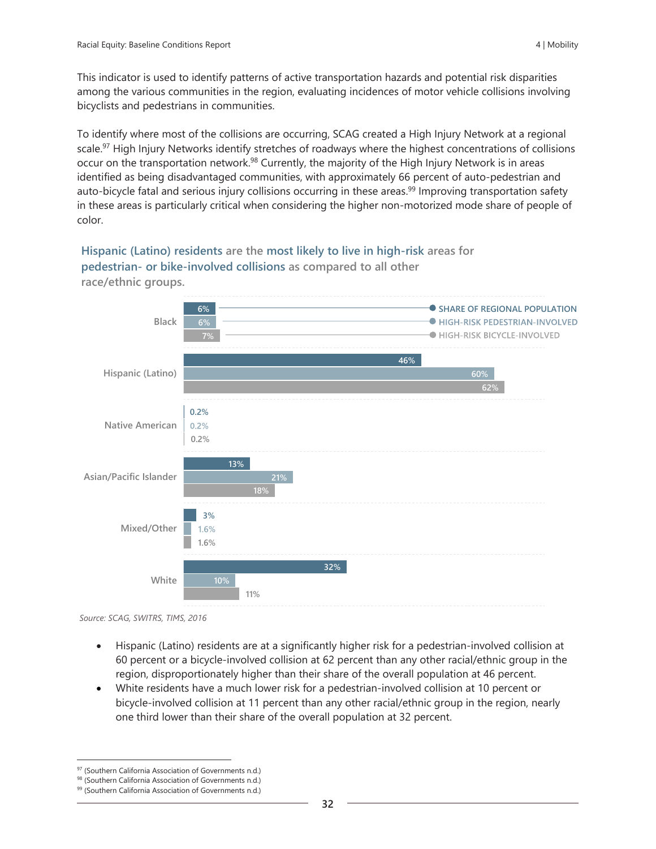This indicator is used to identify patterns of active transportation hazards and potential risk disparities among the various communities in the region, evaluating incidences of motor vehicle collisions involving bicyclists and pedestrians in communities.

To identify where most of the collisions are occurring, SCAG created a High Injury Network at a regional scale.<sup>97</sup> High Injury Networks identify stretches of roadways where the highest concentrations of collisions occur on the transportation network.<sup>98</sup> Currently, the majority of the High Injury Network is in areas identified as being disadvantaged communities, with approximately 66 percent of auto-pedestrian and auto-bicycle fatal and serious injury collisions occurring in these areas.<sup>99</sup> Improving transportation safety in these areas is particularly critical when considering the higher non-motorized mode share of people of color.

**Hispanic (Latino) residents are the most likely to live in high-risk areas for pedestrian- or bike-involved collisions as compared to all other race/ethnic groups.**



*Source: SCAG, SWITRS, TIMS, 2016*

- Hispanic (Latino) residents are at a significantly higher risk for a pedestrian-involved collision at 60 percent or a bicycle-involved collision at 62 percent than any other racial/ethnic group in the region, disproportionately higher than their share of the overall population at 46 percent.
- White residents have a much lower risk for a pedestrian-involved collision at 10 percent or bicycle-involved collision at 11 percent than any other racial/ethnic group in the region, nearly one third lower than their share of the overall population at 32 percent.

<sup>97</sup> (Southern California Association of Governments n.d.)

<sup>98 (</sup>Southern California Association of Governments n.d.)

<sup>99 (</sup>Southern California Association of Governments n.d.)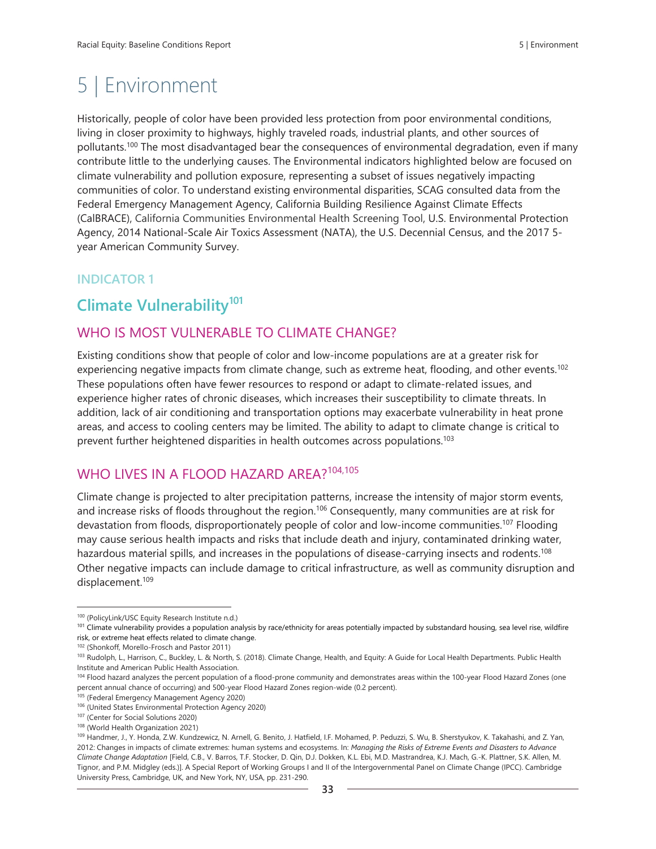# 5 | Environment

Historically, people of color have been provided less protection from poor environmental conditions, living in closer proximity to highways, highly traveled roads, industrial plants, and other sources of pollutants.<sup>100</sup> The most disadvantaged bear the consequences of environmental degradation, even if many contribute little to the underlying causes. The Environmental indicators highlighted below are focused on climate vulnerability and pollution exposure, representing a subset of issues negatively impacting communities of color. To understand existing environmental disparities, SCAG consulted data from the Federal Emergency Management Agency, California Building Resilience Against Climate Effects (CalBRACE), California Communities Environmental Health Screening Tool, U.S. Environmental Protection Agency, 2014 National-Scale Air Toxics Assessment (NATA), the U.S. Decennial Census, and the 2017 5 year American Community Survey.

## **INDICATOR 1**

# **Climate Vulnerability<sup>101</sup>**

## WHO IS MOST VULNERABLE TO CLIMATE CHANGE?

Existing conditions show that people of color and low-income populations are at a greater risk for experiencing negative impacts from climate change, such as extreme heat, flooding, and other events.<sup>102</sup> These populations often have fewer resources to respond or adapt to climate-related issues, and experience higher rates of chronic diseases, which increases their susceptibility to climate threats. In addition, lack of air conditioning and transportation options may exacerbate vulnerability in heat prone areas, and access to cooling centers may be limited. The ability to adapt to climate change is critical to prevent further heightened disparities in health outcomes across populations.<sup>103</sup>

## WHO LIVES IN A FLOOD HAZARD AREA?<sup>104,105</sup>

Climate change is projected to alter precipitation patterns, increase the intensity of major storm events, and increase risks of floods throughout the region.<sup>106</sup> Consequently, many communities are at risk for devastation from floods, disproportionately people of color and low-income communities.<sup>107</sup> Flooding may cause serious health impacts and risks that include death and injury, contaminated drinking water, hazardous material spills, and increases in the populations of disease-carrying insects and rodents.<sup>108</sup> Other negative impacts can include damage to critical infrastructure, as well as community disruption and displacement. 109

<sup>100</sup> (PolicyLink/USC Equity Research Institute n.d.)

<sup>&</sup>lt;sup>101</sup> Climate vulnerability provides a population analysis by race/ethnicity for areas potentially impacted by substandard housing, sea level rise, wildfire risk, or extreme heat effects related to climate change.

<sup>102</sup> (Shonkoff, Morello-Frosch and Pastor 2011)

<sup>103</sup> Rudolph, L., Harrison, C., Buckley, L. & North, S. (2018). Climate Change, Health, and Equity: A Guide for Local Health Departments. Public Health Institute and American Public Health Association.

<sup>104</sup> Flood hazard analyzes the percent population of a flood-prone community and demonstrates areas within the 100-year Flood Hazard Zones (one percent annual chance of occurring) and 500-year Flood Hazard Zones region-wide (0.2 percent).

<sup>105</sup> (Federal Emergency Management Agency 2020)

<sup>106</sup> (United States Environmental Protection Agency 2020)

<sup>107</sup> (Center for Social Solutions 2020)

<sup>108</sup> (World Health Organization 2021)

<sup>109</sup> Handmer, J., Y. Honda, Z.W. Kundzewicz, N. Arnell, G. Benito, J. Hatfield, I.F. Mohamed, P. Peduzzi, S. Wu, B. Sherstyukov, K. Takahashi, and Z. Yan, 2012: Changes in impacts of climate extremes: human systems and ecosystems. In: *Managing the Risks of Extreme Events and Disasters to Advance Climate Change Adaptation* [Field, C.B., V. Barros, T.F. Stocker, D. Qin, D.J. Dokken, K.L. Ebi, M.D. Mastrandrea, K.J. Mach, G.-K. Plattner, S.K. Allen, M. Tignor, and P.M. Midgley (eds.)]. A Special Report of Working Groups I and II of the Intergovernmental Panel on Climate Change (IPCC). Cambridge University Press, Cambridge, UK, and New York, NY, USA, pp. 231-290.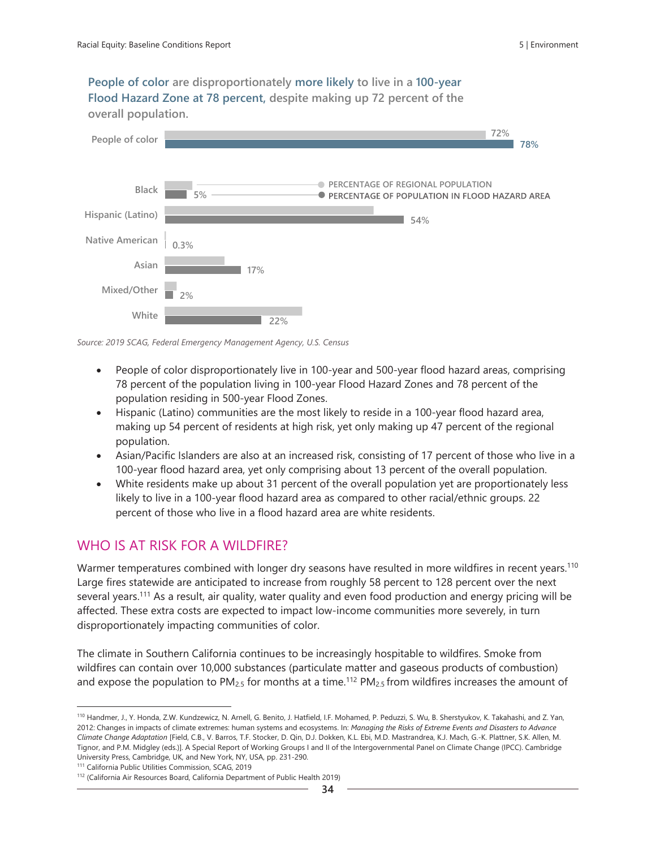**People of color are disproportionately more likely to live in a 100-year Flood Hazard Zone at 78 percent, despite making up 72 percent of the overall population.**



*Source: 2019 SCAG, Federal Emergency Management Agency, U.S. Census*

- People of color disproportionately live in 100-year and 500-year flood hazard areas, comprising 78 percent of the population living in 100-year Flood Hazard Zones and 78 percent of the population residing in 500-year Flood Zones.
- Hispanic (Latino) communities are the most likely to reside in a 100-year flood hazard area, making up 54 percent of residents at high risk, yet only making up 47 percent of the regional population.
- Asian/Pacific Islanders are also at an increased risk, consisting of 17 percent of those who live in a 100-year flood hazard area, yet only comprising about 13 percent of the overall population.
- White residents make up about 31 percent of the overall population yet are proportionately less likely to live in a 100-year flood hazard area as compared to other racial/ethnic groups. 22 percent of those who live in a flood hazard area are white residents.

## WHO IS AT RISK FOR A WILDFIRE?

Warmer temperatures combined with longer dry seasons have resulted in more wildfires in recent years.<sup>110</sup> Large fires statewide are anticipated to increase from roughly 58 percent to 128 percent over the next several years.<sup>111</sup> As a result, air quality, water quality and even food production and energy pricing will be affected. These extra costs are expected to impact low-income communities more severely, in turn disproportionately impacting communities of color.

The climate in Southern California continues to be increasingly hospitable to wildfires. Smoke from wildfires can contain over 10,000 substances (particulate matter and gaseous products of combustion) and expose the population to  $PM_{2.5}$  for months at a time.<sup>112</sup>  $PM_{2.5}$  from wildfires increases the amount of

<sup>110</sup> Handmer, J., Y. Honda, Z.W. Kundzewicz, N. Arnell, G. Benito, J. Hatfield, I.F. Mohamed, P. Peduzzi, S. Wu, B. Sherstyukov, K. Takahashi, and Z. Yan, 2012: Changes in impacts of climate extremes: human systems and ecosystems. In: *Managing the Risks of Extreme Events and Disasters to Advance Climate Change Adaptation* [Field, C.B., V. Barros, T.F. Stocker, D. Qin, D.J. Dokken, K.L. Ebi, M.D. Mastrandrea, K.J. Mach, G.-K. Plattner, S.K. Allen, M. Tignor, and P.M. Midgley (eds.)]. A Special Report of Working Groups I and II of the Intergovernmental Panel on Climate Change (IPCC). Cambridge University Press, Cambridge, UK, and New York, NY, USA, pp. 231-290.

<sup>111</sup> California Public Utilities Commission, SCAG, 2019

<sup>112</sup> (California Air Resources Board, California Department of Public Health 2019)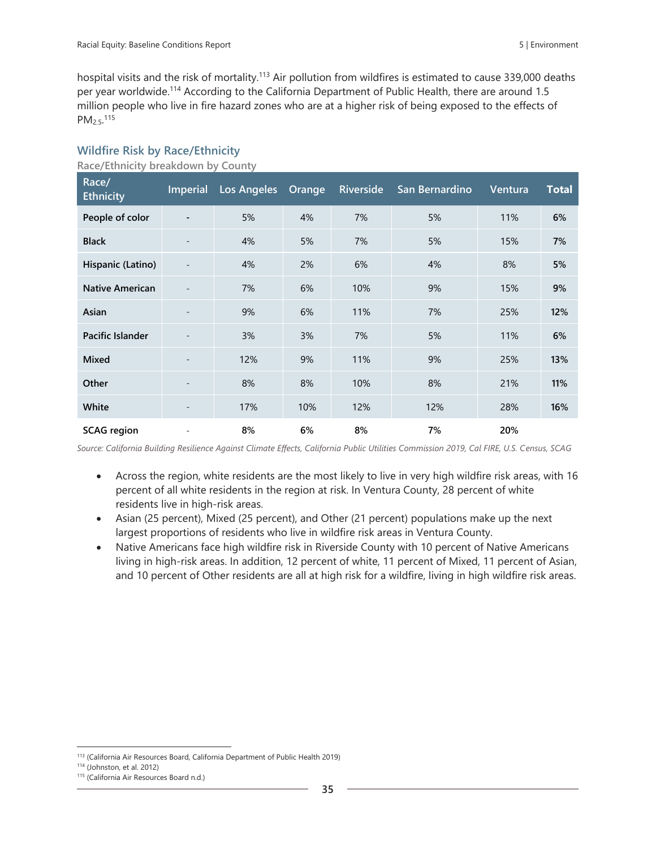hospital visits and the risk of mortality.<sup>113</sup> Air pollution from wildfires is estimated to cause 339,000 deaths per year worldwide.<sup>114</sup> According to the California Department of Public Health, there are around 1.5 million people who live in fire hazard zones who are at a higher risk of being exposed to the effects of PM<sub>2.5</sub>.<sup>115</sup>

| Race/<br><b>Ethnicity</b> | <b>Imperial</b>          | <b>Los Angeles</b> | Orange | <b>Riverside</b> | San Bernardino | Ventura | <b>Total</b> |
|---------------------------|--------------------------|--------------------|--------|------------------|----------------|---------|--------------|
| People of color           | $\blacksquare$           | 5%                 | 4%     | 7%               | 5%             | 11%     | 6%           |
| <b>Black</b>              | $\overline{\phantom{a}}$ | 4%                 | 5%     | 7%               | 5%             | 15%     | 7%           |
| Hispanic (Latino)         | ٠                        | 4%                 | 2%     | 6%               | 4%             | 8%      | 5%           |
| <b>Native American</b>    | $\overline{\phantom{a}}$ | 7%                 | 6%     | 10%              | 9%             | 15%     | 9%           |
| Asian                     | $\overline{\phantom{a}}$ | 9%                 | 6%     | 11%              | 7%             | 25%     | 12%          |
| Pacific Islander          |                          | 3%                 | 3%     | 7%               | 5%             | 11%     | 6%           |
| <b>Mixed</b>              | ٠                        | 12%                | 9%     | 11%              | 9%             | 25%     | 13%          |
| Other                     | $\overline{\phantom{a}}$ | 8%                 | 8%     | 10%              | 8%             | 21%     | 11%          |
| White                     | ٠                        | 17%                | 10%    | 12%              | 12%            | 28%     | 16%          |
| <b>SCAG</b> region        |                          | 8%                 | 6%     | 8%               | 7%             | 20%     |              |

#### **Wildfire Risk by Race/Ethnicity**

**Race/Ethnicity breakdown by County** 

*Source: California Building Resilience Against Climate Effects, California Public Utilities Commission 2019, Cal FIRE, U.S. Census, SCAG*

- Across the region, white residents are the most likely to live in very high wildfire risk areas, with 16 percent of all white residents in the region at risk. In Ventura County, 28 percent of white residents live in high-risk areas.
- Asian (25 percent), Mixed (25 percent), and Other (21 percent) populations make up the next largest proportions of residents who live in wildfire risk areas in Ventura County.
- Native Americans face high wildfire risk in Riverside County with 10 percent of Native Americans living in high-risk areas. In addition, 12 percent of white, 11 percent of Mixed, 11 percent of Asian, and 10 percent of Other residents are all at high risk for a wildfire, living in high wildfire risk areas.

<sup>113</sup> (California Air Resources Board, California Department of Public Health 2019)

<sup>114</sup> (Johnston, et al. 2012)

<sup>115</sup> (California Air Resources Board n.d.)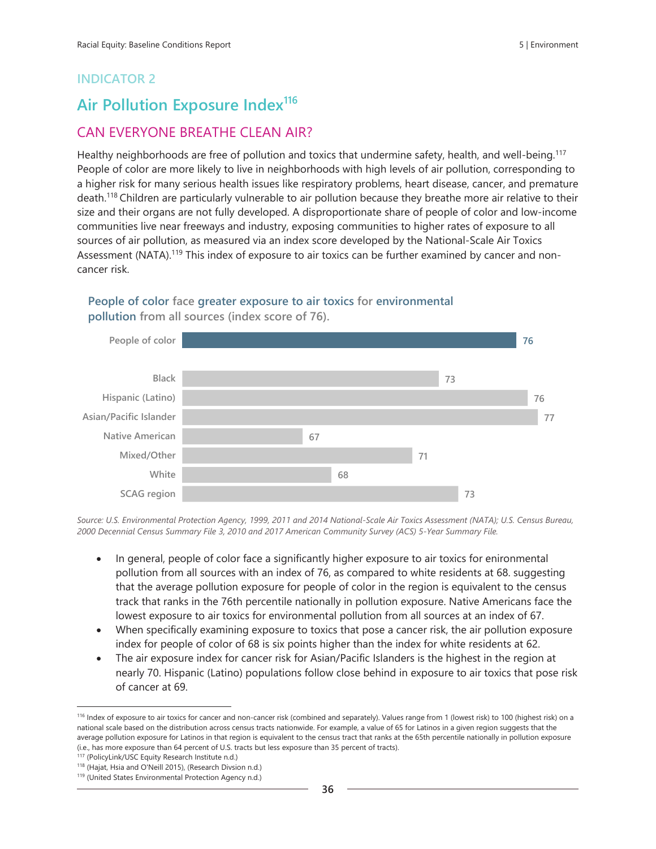# **Air Pollution Exposure Index<sup>116</sup>**

## CAN EVERYONE BREATHE CLEAN AIR?

Healthy neighborhoods are free of pollution and toxics that undermine safety, health, and well-being.<sup>117</sup> People of color are more likely to live in neighborhoods with high levels of air pollution, corresponding to a higher risk for many serious health issues like respiratory problems, heart disease, cancer, and premature death.<sup>118</sup> Children are particularly vulnerable to air pollution because they breathe more air relative to their size and their organs are not fully developed. A disproportionate share of people of color and low-income communities live near freeways and industry, exposing communities to higher rates of exposure to all sources of air pollution, as measured via an index score developed by the National-Scale Air Toxics Assessment (NATA).<sup>119</sup> This index of exposure to air toxics can be further examined by cancer and noncancer risk.





*Source: U.S. Environmental Protection Agency, 1999, 2011 and 2014 National-Scale Air Toxics Assessment (NATA); U.S. Census Bureau, 2000 Decennial Census Summary File 3, 2010 and 2017 American Community Survey (ACS) 5-Year Summary File.*

- In general, people of color face a significantly higher exposure to air toxics for enironmental pollution from all sources with an index of 76, as compared to white residents at 68. suggesting that the average pollution exposure for people of color in the region is equivalent to the census track that ranks in the 76th percentile nationally in pollution exposure. Native Americans face the lowest exposure to air toxics for environmental pollution from all sources at an index of 67.
- When specifically examining exposure to toxics that pose a cancer risk, the air pollution exposure index for people of color of 68 is six points higher than the index for white residents at 62.
- The air exposure index for cancer risk for Asian/Pacific Islanders is the highest in the region at nearly 70. Hispanic (Latino) populations follow close behind in exposure to air toxics that pose risk of cancer at 69.

<sup>116</sup> Index of exposure to air toxics for cancer and non-cancer risk (combined and separately). Values range from 1 (lowest risk) to 100 (highest risk) on a national scale based on the distribution across census tracts nationwide. For example, a value of 65 for Latinos in a given region suggests that the average pollution exposure for Latinos in that region is equivalent to the census tract that ranks at the 65th percentile nationally in pollution exposure (i.e., has more exposure than 64 percent of U.S. tracts but less exposure than 35 percent of tracts).

<sup>117</sup> (PolicyLink/USC Equity Research Institute n.d.)

<sup>118</sup> (Hajat, Hsia and O'Neill 2015), (Research Divsion n.d.)

<sup>119</sup> (United States Environmental Protection Agency n.d.)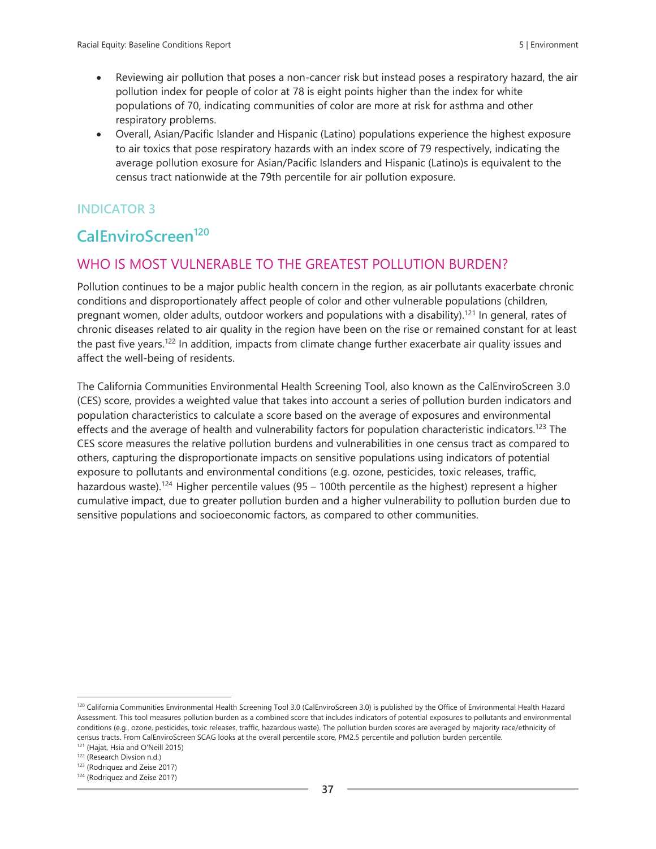- Reviewing air pollution that poses a non-cancer risk but instead poses a respiratory hazard, the air pollution index for people of color at 78 is eight points higher than the index for white populations of 70, indicating communities of color are more at risk for asthma and other respiratory problems.
- Overall, Asian/Pacific Islander and Hispanic (Latino) populations experience the highest exposure to air toxics that pose respiratory hazards with an index score of 79 respectively, indicating the average pollution exosure for Asian/Pacific Islanders and Hispanic (Latino)s is equivalent to the census tract nationwide at the 79th percentile for air pollution exposure.

# **CalEnviroScreen<sup>120</sup>**

## WHO IS MOST VULNERABLE TO THE GREATEST POLLUTION BURDEN?

Pollution continues to be a major public health concern in the region, as air pollutants exacerbate chronic conditions and disproportionately affect people of color and other vulnerable populations (children, pregnant women, older adults, outdoor workers and populations with a disability).<sup>121</sup> In general, rates of chronic diseases related to air quality in the region have been on the rise or remained constant for at least the past five years.<sup>122</sup> In addition, impacts from climate change further exacerbate air quality issues and affect the well-being of residents.

The California Communities Environmental Health Screening Tool, also known as the CalEnviroScreen 3.0 (CES) score, provides a weighted value that takes into account a series of pollution burden indicators and population characteristics to calculate a score based on the average of exposures and environmental effects and the average of health and vulnerability factors for population characteristic indicators.<sup>123</sup> The CES score measures the relative pollution burdens and vulnerabilities in one census tract as compared to others, capturing the disproportionate impacts on sensitive populations using indicators of potential exposure to pollutants and environmental conditions (e.g. ozone, pesticides, toxic releases, traffic, hazardous waste).<sup>124</sup> Higher percentile values (95 – 100th percentile as the highest) represent a higher cumulative impact, due to greater pollution burden and a higher vulnerability to pollution burden due to sensitive populations and socioeconomic factors, as compared to other communities.

<sup>&</sup>lt;sup>120</sup> California Communities Environmental Health Screening Tool 3.0 (CalEnviroScreen 3.0) is published by the Office of Environmental Health Hazard Assessment. This tool measures pollution burden as a combined score that includes indicators of potential exposures to pollutants and environmental conditions (e.g., ozone, pesticides, toxic releases, traffic, hazardous waste). The pollution burden scores are averaged by majority race/ethnicity of census tracts. From CalEnviroScreen SCAG looks at the overall percentile score, PM2.5 percentile and pollution burden percentile.

<sup>121</sup> (Hajat, Hsia and O'Neill 2015)

<sup>122 (</sup>Research Divsion n.d.)

<sup>123</sup> (Rodriquez and Zeise 2017)

<sup>124</sup> (Rodriquez and Zeise 2017)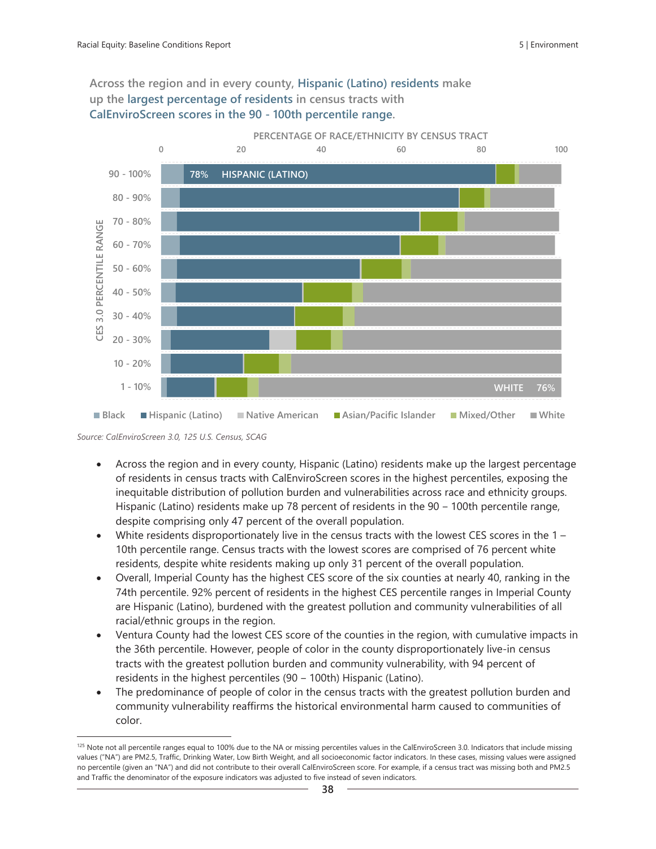#### **Across the region and in every county, Hispanic (Latino) residents make up the largest percentage of residents in census tracts with CalEnviroScreen scores in the 90 - 100th percentile range.**



*Source: CalEnviroScreen 3.0, 125 U.S. Census, SCAG*

- Across the region and in every county, Hispanic (Latino) residents make up the largest percentage of residents in census tracts with CalEnviroScreen scores in the highest percentiles, exposing the inequitable distribution of pollution burden and vulnerabilities across race and ethnicity groups. Hispanic (Latino) residents make up 78 percent of residents in the 90 – 100th percentile range, despite comprising only 47 percent of the overall population.
- White residents disproportionately live in the census tracts with the lowest CES scores in the  $1 -$ 10th percentile range. Census tracts with the lowest scores are comprised of 76 percent white residents, despite white residents making up only 31 percent of the overall population.
- Overall, Imperial County has the highest CES score of the six counties at nearly 40, ranking in the 74th percentile. 92% percent of residents in the highest CES percentile ranges in Imperial County are Hispanic (Latino), burdened with the greatest pollution and community vulnerabilities of all racial/ethnic groups in the region.
- Ventura County had the lowest CES score of the counties in the region, with cumulative impacts in the 36th percentile. However, people of color in the county disproportionately live-in census tracts with the greatest pollution burden and community vulnerability, with 94 percent of residents in the highest percentiles (90 - 100th) Hispanic (Latino).
- The predominance of people of color in the census tracts with the greatest pollution burden and community vulnerability reaffirms the historical environmental harm caused to communities of color.

<sup>&</sup>lt;sup>125</sup> Note not all percentile ranges equal to 100% due to the NA or missing percentiles values in the CalEnviroScreen 3.0. Indicators that include missing values ("NA") are PM2.5, Traffic, Drinking Water, Low Birth Weight, and all socioeconomic factor indicators. In these cases, missing values were assigned no percentile (given an "NA") and did not contribute to their overall CalEnviroScreen score. For example, if a census tract was missing both and PM2.5 and Traffic the denominator of the exposure indicators was adjusted to five instead of seven indicators.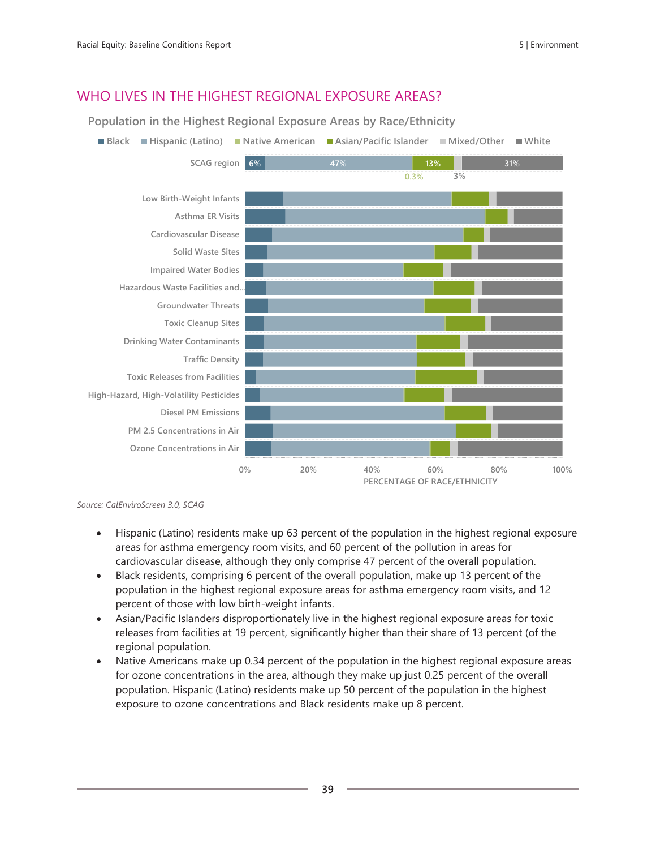## WHO LIVES IN THE HIGHEST REGIONAL EXPOSURE AREAS?

**Population in the Highest Regional Exposure Areas by Race/Ethnicity**



*Source: CalEnviroScreen 3.0, SCAG*

- Hispanic (Latino) residents make up 63 percent of the population in the highest regional exposure areas for asthma emergency room visits, and 60 percent of the pollution in areas for cardiovascular disease, although they only comprise 47 percent of the overall population.
- Black residents, comprising 6 percent of the overall population, make up 13 percent of the population in the highest regional exposure areas for asthma emergency room visits, and 12 percent of those with low birth-weight infants.
- Asian/Pacific Islanders disproportionately live in the highest regional exposure areas for toxic releases from facilities at 19 percent, significantly higher than their share of 13 percent (of the regional population.
- Native Americans make up 0.34 percent of the population in the highest regional exposure areas for ozone concentrations in the area, although they make up just 0.25 percent of the overall population. Hispanic (Latino) residents make up 50 percent of the population in the highest exposure to ozone concentrations and Black residents make up 8 percent.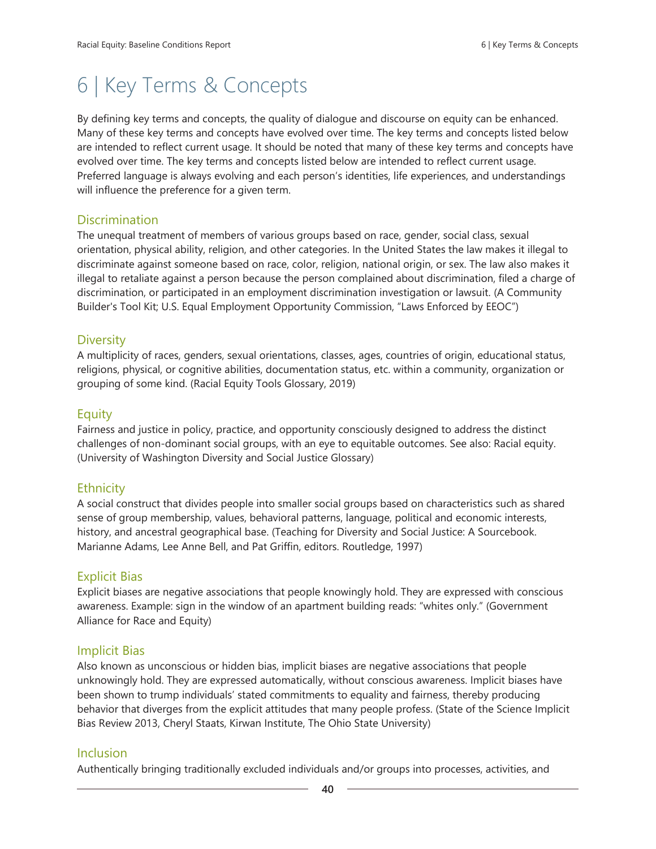# 6 | Key Terms & Concepts

By defining key terms and concepts, the quality of dialogue and discourse on equity can be enhanced. Many of these key terms and concepts have evolved over time. The key terms and concepts listed below are intended to reflect current usage. It should be noted that many of these key terms and concepts have evolved over time. The key terms and concepts listed below are intended to reflect current usage. Preferred language is always evolving and each person's identities, life experiences, and understandings will influence the preference for a given term.

#### **Discrimination**

The unequal treatment of members of various groups based on race, gender, social class, sexual orientation, physical ability, religion, and other categories. In the United States the law makes it illegal to discriminate against someone based on race, color, religion, national origin, or sex. The law also makes it illegal to retaliate against a person because the person complained about discrimination, filed a charge of discrimination, or participated in an employment discrimination investigation or lawsuit. (A Community Builder's Tool Kit; U.S. Equal Employment Opportunity Commission, "Laws Enforced by EEOC")

### **Diversity**

A multiplicity of races, genders, sexual orientations, classes, ages, countries of origin, educational status, religions, physical, or cognitive abilities, documentation status, etc. within a community, organization or grouping of some kind. (Racial Equity Tools Glossary, 2019)

#### Equity

Fairness and justice in policy, practice, and opportunity consciously designed to address the distinct challenges of non-dominant social groups, with an eye to equitable outcomes. See also: Racial equity. (University of Washington Diversity and Social Justice Glossary)

## **Ethnicity**

A social construct that divides people into smaller social groups based on characteristics such as shared sense of group membership, values, behavioral patterns, language, political and economic interests, history, and ancestral geographical base. (Teaching for Diversity and Social Justice: A Sourcebook. Marianne Adams, Lee Anne Bell, and Pat Griffin, editors. Routledge, 1997)

#### Explicit Bias

Explicit biases are negative associations that people knowingly hold. They are expressed with conscious awareness. Example: sign in the window of an apartment building reads: "whites only." (Government Alliance for Race and Equity)

#### Implicit Bias

Also known as unconscious or hidden bias, implicit biases are negative associations that people unknowingly hold. They are expressed automatically, without conscious awareness. Implicit biases have been shown to trump individuals' stated commitments to equality and fairness, thereby producing behavior that diverges from the explicit attitudes that many people profess. (State of the Science Implicit Bias Review 2013, Cheryl Staats, Kirwan Institute, The Ohio State University)

#### Inclusion

Authentically bringing traditionally excluded individuals and/or groups into processes, activities, and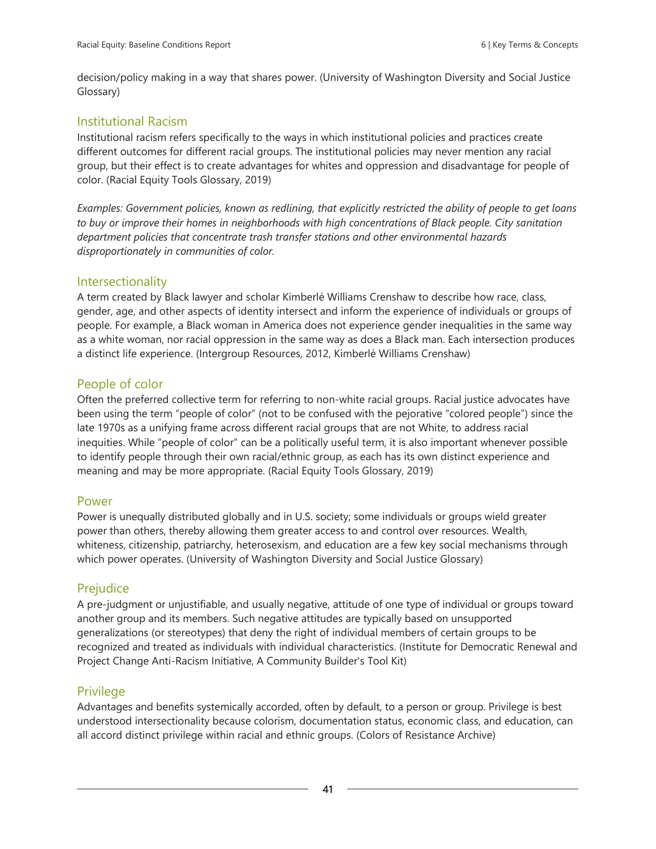decision/policy making in a way that shares power. (University of Washington Diversity and Social Justice Glossary)

## Institutional Racism

Institutional racism refers specifically to the ways in which institutional policies and practices create different outcomes for different racial groups. The institutional policies may never mention any racial group, but their effect is to create advantages for whites and oppression and disadvantage for people of color. (Racial Equity Tools Glossary, 2019)

*Examples: Government policies, known as redlining, that explicitly restricted the ability of people to get loans to buy or improve their homes in neighborhoods with high concentrations of Black people. City sanitation department policies that concentrate trash transfer stations and other environmental hazards disproportionately in communities of color.*

### **Intersectionality**

A term created by Black lawyer and scholar Kimberlé Williams Crenshaw to describe how race, class, gender, age, and other aspects of identity intersect and inform the experience of individuals or groups of people. For example, a Black woman in America does not experience gender inequalities in the same way as a white woman, nor racial oppression in the same way as does a Black man. Each intersection produces a distinct life experience. (Intergroup Resources, 2012, Kimberlé Williams Crenshaw)

## People of color

Often the preferred collective term for referring to non-white racial groups. Racial justice advocates have been using the term "people of color" (not to be confused with the pejorative "colored people") since the late 1970s as a unifying frame across different racial groups that are not White, to address racial inequities. While "people of color" can be a politically useful term, it is also important whenever possible to identify people through their own racial/ethnic group, as each has its own distinct experience and meaning and may be more appropriate. (Racial Equity Tools Glossary, 2019)

#### Power

Power is unequally distributed globally and in U.S. society; some individuals or groups wield greater power than others, thereby allowing them greater access to and control over resources. Wealth, whiteness, citizenship, patriarchy, heterosexism, and education are a few key social mechanisms through which power operates. (University of Washington Diversity and Social Justice Glossary)

## Prejudice

A pre-judgment or unjustifiable, and usually negative, attitude of one type of individual or groups toward another group and its members. Such negative attitudes are typically based on unsupported generalizations (or stereotypes) that deny the right of individual members of certain groups to be recognized and treated as individuals with individual characteristics. (Institute for Democratic Renewal and Project Change Anti-Racism Initiative, A Community Builder's Tool Kit)

#### **Privilege**

Advantages and benefits systemically accorded, often by default, to a person or group. Privilege is best understood intersectionality because colorism, documentation status, economic class, and education, can all accord distinct privilege within racial and ethnic groups. (Colors of Resistance Archive)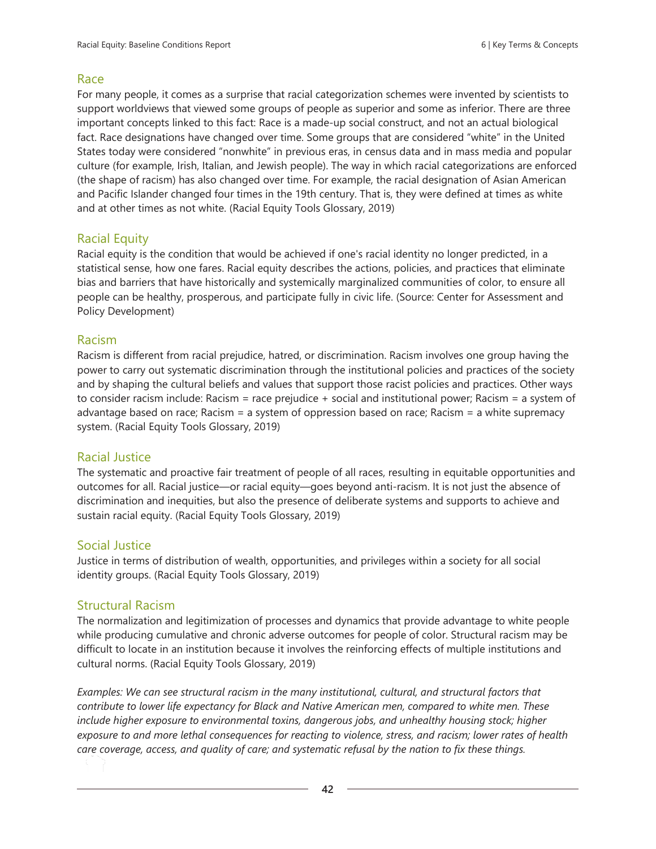### Race

For many people, it comes as a surprise that racial categorization schemes were invented by scientists to support worldviews that viewed some groups of people as superior and some as inferior. There are three important concepts linked to this fact: Race is a made-up social construct, and not an actual biological fact. Race designations have changed over time. Some groups that are considered "white" in the United States today were considered "nonwhite" in previous eras, in census data and in mass media and popular culture (for example, Irish, Italian, and Jewish people). The way in which racial categorizations are enforced (the shape of racism) has also changed over time. For example, the racial designation of Asian American and Pacific Islander changed four times in the 19th century. That is, they were defined at times as white and at other times as not white. (Racial Equity Tools Glossary, 2019)

## Racial Equity

Racial equity is the condition that would be achieved if one's racial identity no longer predicted, in a statistical sense, how one fares. Racial equity describes the actions, policies, and practices that eliminate bias and barriers that have historically and systemically marginalized communities of color, to ensure all people can be healthy, prosperous, and participate fully in civic life. (Source: Center for Assessment and Policy Development)

### Racism

Racism is different from racial prejudice, hatred, or discrimination. Racism involves one group having the power to carry out systematic discrimination through the institutional policies and practices of the society and by shaping the cultural beliefs and values that support those racist policies and practices. Other ways to consider racism include: Racism = race prejudice + social and institutional power; Racism = a system of advantage based on race; Racism = a system of oppression based on race; Racism = a white supremacy system. (Racial Equity Tools Glossary, 2019)

## Racial Justice

The systematic and proactive fair treatment of people of all races, resulting in equitable opportunities and outcomes for all. Racial justice—or racial equity—goes beyond anti-racism. It is not just the absence of discrimination and inequities, but also the presence of deliberate systems and supports to achieve and sustain racial equity. (Racial Equity Tools Glossary, 2019)

## Social Justice

Justice in terms of distribution of wealth, opportunities, and privileges within a society for all social identity groups. (Racial Equity Tools Glossary, 2019)

## Structural Racism

The normalization and legitimization of processes and dynamics that provide advantage to white people while producing cumulative and chronic adverse outcomes for people of color. Structural racism may be difficult to locate in an institution because it involves the reinforcing effects of multiple institutions and cultural norms. (Racial Equity Tools Glossary, 2019)

*Examples: We can see structural racism in the many institutional, cultural, and structural factors that contribute to lower life expectancy for Black and Native American men, compared to white men. These include higher exposure to environmental toxins, dangerous jobs, and unhealthy housing stock; higher exposure to and more lethal consequences for reacting to violence, stress, and racism; lower rates of health care coverage, access, and quality of care; and systematic refusal by the nation to fix these things.*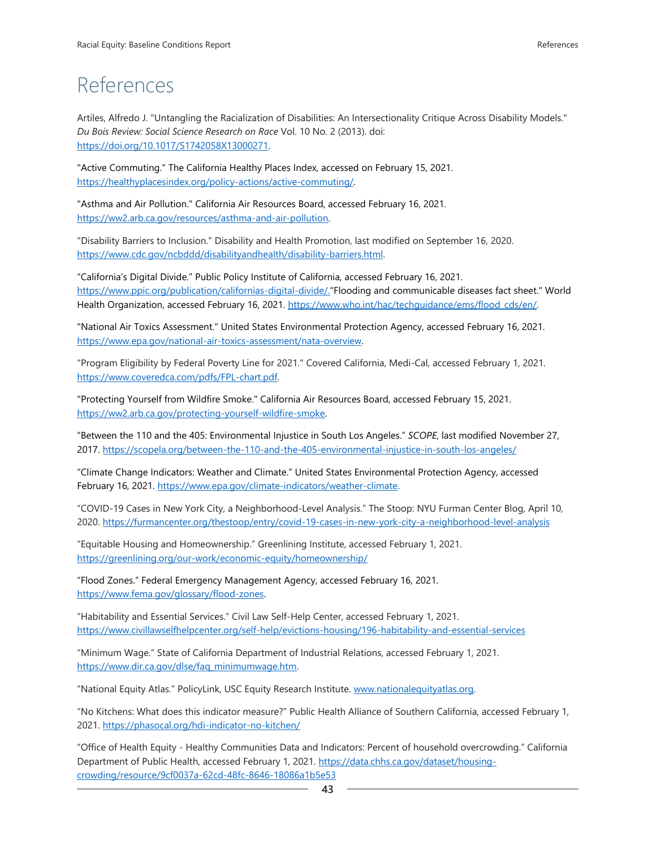# References

Artiles, Alfredo J. "Untangling the Racialization of Disabilities: An Intersectionality Critique Across Disability Models." *Du Bois Review: Social Science Research on Race* Vol. 10 No. 2 (2013). doi: [https://doi.org/10.1017/S1742058X13000271.](https://doi.org/10.1017/S1742058X13000271) 

"Active Commuting." The California Healthy Places Index, accessed on February 15, 2021. [https://healthyplacesindex.org/policy-actions/active-commuting/.](https://healthyplacesindex.org/policy-actions/active-commuting/)

"Asthma and Air Pollution." California Air Resources Board, accessed February 16, 2021. [https://ww2.arb.ca.gov/resources/asthma-and-air-pollution.](https://ww2.arb.ca.gov/resources/asthma-and-air-pollution)

"Disability Barriers to Inclusion." Disability and Health Promotion, last modified on September 16, 2020. [https://www.cdc.gov/ncbddd/disabilityandhealth/disability-barriers.html.](https://www.cdc.gov/ncbddd/disabilityandhealth/disability-barriers.html)

"California's Digital Divide." Public Policy Institute of California, accessed February 16, 2021. [https://www.ppic.org/publication/californias-digital-divide/.](https://www.ppic.org/publication/californias-digital-divide/)"Flooding and communicable diseases fact sheet." World Health Organization, accessed February 16, 2021. [https://www.who.int/hac/techguidance/ems/flood\\_cds/en/.](https://www.who.int/hac/techguidance/ems/flood_cds/en/)

"National Air Toxics Assessment." United States Environmental Protection Agency, accessed February 16, 2021. [https://www.epa.gov/national-air-toxics-assessment/nata-overview.](https://www.epa.gov/national-air-toxics-assessment/nata-overview)

"Program Eligibility by Federal Poverty Line for 2021." Covered California, Medi-Cal, accessed February 1, 2021. [https://www.coveredca.com/pdfs/FPL-chart.pdf.](https://www.coveredca.com/pdfs/FPL-chart.pdf)

"Protecting Yourself from Wildfire Smoke." California Air Resources Board, accessed February 15, 2021. [https://ww2.arb.ca.gov/protecting-yourself-wildfire-smoke.](https://ww2.arb.ca.gov/protecting-yourself-wildfire-smoke)

"Between the 110 and the 405: Environmental Injustice in South Los Angeles." *SCOPE*, last modified November 27, 2017.<https://scopela.org/between-the-110-and-the-405-environmental-injustice-in-south-los-angeles/>

"Climate Change Indicators: Weather and Climate." United States Environmental Protection Agency, accessed February 16, 2021. [https://www.epa.gov/climate-indicators/weather-climate.](https://www.epa.gov/climate-indicators/weather-climate)

"COVID-19 Cases in New York City, a Neighborhood-Level Analysis." The Stoop: NYU Furman Center Blog, April 10, 2020.<https://furmancenter.org/thestoop/entry/covid-19-cases-in-new-york-city-a-neighborhood-level-analysis>

"Equitable Housing and Homeownership." Greenlining Institute, accessed February 1, 2021. <https://greenlining.org/our-work/economic-equity/homeownership/>

"Flood Zones." Federal Emergency Management Agency, accessed February 16, 2021. [https://www.fema.gov/glossary/flood-zones.](https://www.fema.gov/glossary/flood-zones)

"Habitability and Essential Services." Civil Law Self-Help Center, accessed February 1, 2021. <https://www.civillawselfhelpcenter.org/self-help/evictions-housing/196-habitability-and-essential-services>

"Minimum Wage." State of California Department of Industrial Relations, accessed February 1, 2021. [https://www.dir.ca.gov/dlse/faq\\_minimumwage.htm.](https://www.dir.ca.gov/dlse/faq_minimumwage.htm)

"National Equity Atlas." PolicyLink, USC Equity Research Institute. [www.nationalequityatlas.org.](http://www.nationalequityatlas.org/)

"No Kitchens: What does this indicator measure?" Public Health Alliance of Southern California, accessed February 1, 2021.<https://phasocal.org/hdi-indicator-no-kitchen/>

"Office of Health Equity - Healthy Communities Data and Indicators: Percent of household overcrowding." California Department of Public Health, accessed February 1, 2021. [https://data.chhs.ca.gov/dataset/housing](https://data.chhs.ca.gov/dataset/housing-crowding/resource/9cf0037a-62cd-48fc-8646-18086a1b5e53)[crowding/resource/9cf0037a-62cd-48fc-8646-18086a1b5e53](https://data.chhs.ca.gov/dataset/housing-crowding/resource/9cf0037a-62cd-48fc-8646-18086a1b5e53)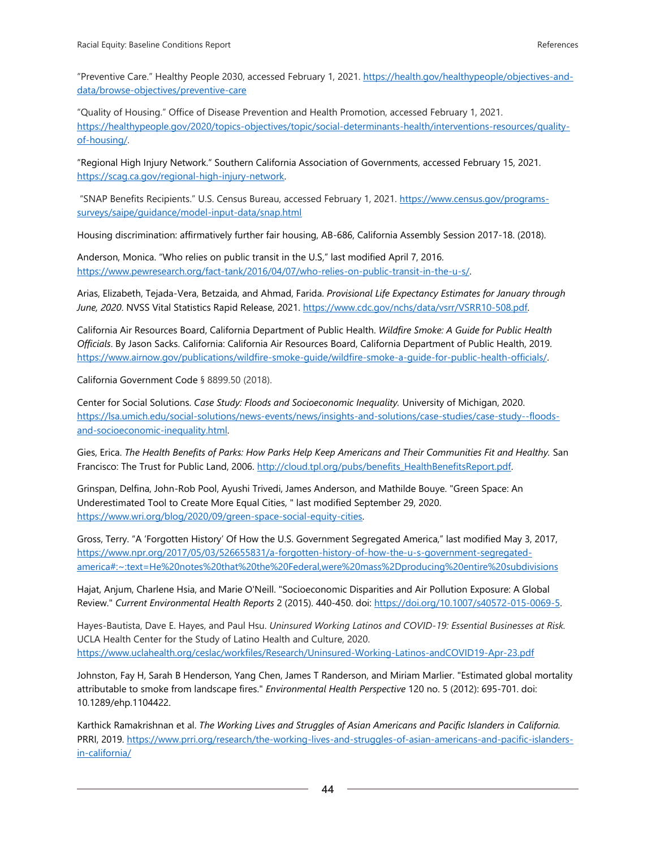"Preventive Care." Healthy People 2030, accessed February 1, 2021. [https://health.gov/healthypeople/objectives-and](https://health.gov/healthypeople/objectives-and-data/browse-objectives/preventive-care)[data/browse-objectives/preventive-care](https://health.gov/healthypeople/objectives-and-data/browse-objectives/preventive-care)

"Quality of Housing." Office of Disease Prevention and Health Promotion, accessed February 1, 2021. [https://healthypeople.gov/2020/topics-objectives/topic/social-determinants-health/interventions-resources/quality](https://healthypeople.gov/2020/topics-objectives/topic/social-determinants-health/interventions-resources/quality-of-housing/)[of-housing/.](https://healthypeople.gov/2020/topics-objectives/topic/social-determinants-health/interventions-resources/quality-of-housing/)

"Regional High Injury Network." Southern California Association of Governments, accessed February 15, 2021. [https://scag.ca.gov/regional-high-injury-network.](https://scag.ca.gov/regional-high-injury-network)

"SNAP Benefits Recipients." U.S. Census Bureau, accessed February 1, 2021. [https://www.census.gov/programs](https://www.census.gov/programs-surveys/saipe/guidance/model-input-data/snap.html)[surveys/saipe/guidance/model-input-data/snap.html](https://www.census.gov/programs-surveys/saipe/guidance/model-input-data/snap.html)

Housing discrimination: affirmatively further fair housing, AB-686, California Assembly Session 2017-18. (2018).

Anderson, Monica. "Who relies on public transit in the U.S," last modified April 7, 2016. [https://www.pewresearch.org/fact-tank/2016/04/07/who-relies-on-public-transit-in-the-u-s/.](https://www.pewresearch.org/fact-tank/2016/04/07/who-relies-on-public-transit-in-the-u-s/)

Arias, Elizabeth, Tejada-Vera, Betzaida, and Ahmad, Farida. *Provisional Life Expectancy Estimates for January through June, 2020*. NVSS Vital Statistics Rapid Release, 2021. [https://www.cdc.gov/nchs/data/vsrr/VSRR10-508.pdf.](https://www.cdc.gov/nchs/data/vsrr/VSRR10-508.pdf)

California Air Resources Board, California Department of Public Health. *Wildfire Smoke: A Guide for Public Health Officials*. By Jason Sacks. California: California Air Resources Board, California Department of Public Health, 2019. [https://www.airnow.gov/publications/wildfire-smoke-guide/wildfire-smoke-a-guide-for-public-health-officials/.](https://www.airnow.gov/publications/wildfire-smoke-guide/wildfire-smoke-a-guide-for-public-health-officials/)

California Government Code § 8899.50 (2018).

Center for Social Solutions. *Case Study: Floods and Socioeconomic Inequality.* University of Michigan, 2020. [https://lsa.umich.edu/social-solutions/news-events/news/insights-and-solutions/case-studies/case-study--floods](https://lsa.umich.edu/social-solutions/news-events/news/insights-and-solutions/case-studies/case-study--floods-and-socioeconomic-inequality.html)[and-socioeconomic-inequality.html.](https://lsa.umich.edu/social-solutions/news-events/news/insights-and-solutions/case-studies/case-study--floods-and-socioeconomic-inequality.html)

Gies, Erica. *The Health Benefits of Parks: How Parks Help Keep Americans and Their Communities Fit and Healthy.* San Francisco: The Trust for Public Land, 2006. http://cloud.tpl.org/pubs/benefits HealthBenefitsReport.pdf.

Grinspan, Delfina, John-Rob Pool, Ayushi Trivedi, James Anderson, and Mathilde Bouye. "Green Space: An Underestimated Tool to Create More Equal Cities, " last modified September 29, 2020. [https://www.wri.org/blog/2020/09/green-space-social-equity-cities.](https://www.wri.org/blog/2020/09/green-space-social-equity-cities)

Gross, Terry. "A 'Forgotten History' Of How the U.S. Government Segregated America," last modified May 3, 2017, [https://www.npr.org/2017/05/03/526655831/a-forgotten-history-of-how-the-u-s-government-segregated](https://www.npr.org/2017/05/03/526655831/a-forgotten-history-of-how-the-u-s-government-segregated-america#:~:text=He%20notes%20that%20the%20Federal,were%20mass%2Dproducing%20entire%20subdivisions)[america#:~:text=He%20notes%20that%20the%20Federal,were%20mass%2Dproducing%20entire%20subdivisions](https://www.npr.org/2017/05/03/526655831/a-forgotten-history-of-how-the-u-s-government-segregated-america#:~:text=He%20notes%20that%20the%20Federal,were%20mass%2Dproducing%20entire%20subdivisions)

Hajat, Anjum, Charlene Hsia, and Marie O'Neill. "Socioeconomic Disparities and Air Pollution Exposure: A Global Review." *Current Environmental Health Reports* 2 (2015). 440-450. doi: [https://doi.org/10.1007/s40572-015-0069-5.](https://doi.org/10.1007/s40572-015-0069-5)

Hayes-Bautista, Dave E. Hayes, and Paul Hsu. *Uninsured Working Latinos and COVID-19: Essential Businesses at Risk.* UCLA Health Center for the Study of Latino Health and Culture, 2020. <https://www.uclahealth.org/ceslac/workfiles/Research/Uninsured-Working-Latinos-andCOVID19-Apr-23.pdf>

Johnston, Fay H, Sarah B Henderson, Yang Chen, James T Randerson, and Miriam Marlier. "Estimated global mortality attributable to smoke from landscape fires." *Environmental Health Perspective* 120 no. 5 (2012): 695-701. doi: 10.1289/ehp.1104422.

Karthick Ramakrishnan et al. *The Working Lives and Struggles of Asian Americans and Pacific Islanders in California.*  PRRI, 2019. [https://www.prri.org/research/the-working-lives-and-struggles-of-asian-americans-and-pacific-islanders](https://www.prri.org/research/the-working-lives-and-struggles-of-asian-americans-and-pacific-islanders-in-california/)[in-california/](https://www.prri.org/research/the-working-lives-and-struggles-of-asian-americans-and-pacific-islanders-in-california/)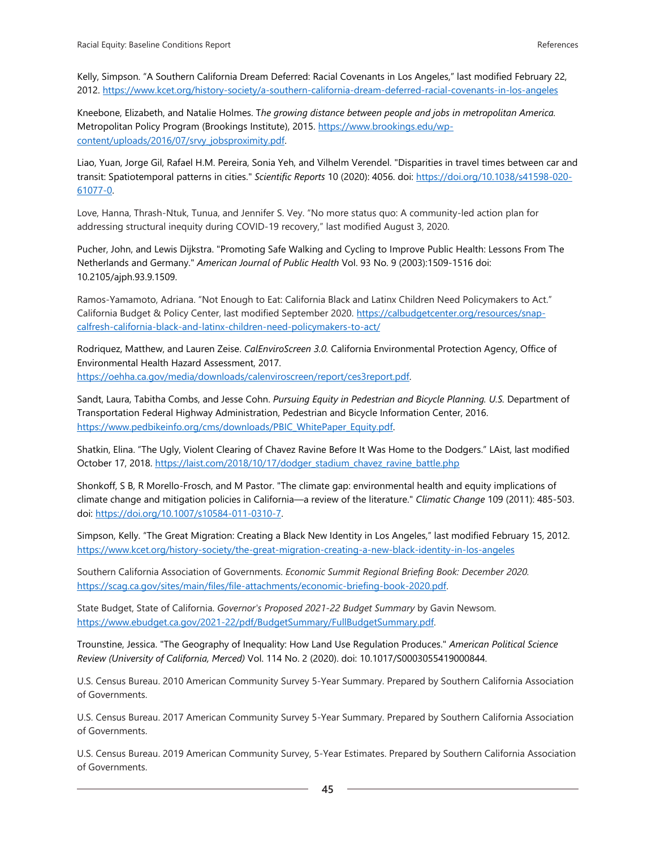Kelly, Simpson. "A Southern California Dream Deferred: Racial Covenants in Los Angeles," last modified February 22, 2012.<https://www.kcet.org/history-society/a-southern-california-dream-deferred-racial-covenants-in-los-angeles>

Kneebone, Elizabeth, and Natalie Holmes. T*he growing distance between people and jobs in metropolitan America.*  Metropolitan Policy Program (Brookings Institute), 2015. [https://www.brookings.edu/wp](https://www.brookings.edu/wp-content/uploads/2016/07/srvy_jobsproximity.pdf)[content/uploads/2016/07/srvy\\_jobsproximity.pdf.](https://www.brookings.edu/wp-content/uploads/2016/07/srvy_jobsproximity.pdf)

Liao, Yuan, Jorge Gil, Rafael H.M. Pereira, Sonia Yeh, and Vilhelm Verendel. "Disparities in travel times between car and transit: Spatiotemporal patterns in cities." *Scientific Reports* 10 (2020): 4056. doi: [https://doi.org/10.1038/s41598-020-](https://doi.org/10.1038/s41598-020-61077-0) [61077-0.](https://doi.org/10.1038/s41598-020-61077-0)

Love, Hanna, Thrash-Ntuk, Tunua, and Jennifer S. Vey. "No more status quo: A community-led action plan for addressing structural inequity during COVID-19 recovery," last modified August 3, 2020.

Pucher, John, and Lewis Dijkstra. "Promoting Safe Walking and Cycling to Improve Public Health: Lessons From The Netherlands and Germany." *American Journal of Public Health* Vol. 93 No. 9 (2003):1509-1516 doi: 10.2105/ajph.93.9.1509.

Ramos-Yamamoto, Adriana. "Not Enough to Eat: California Black and Latinx Children Need Policymakers to Act." California Budget & Policy Center, last modified September 2020. [https://calbudgetcenter.org/resources/snap](https://calbudgetcenter.org/resources/snap-calfresh-california-black-and-latinx-children-need-policymakers-to-act/)[calfresh-california-black-and-latinx-children-need-policymakers-to-act/](https://calbudgetcenter.org/resources/snap-calfresh-california-black-and-latinx-children-need-policymakers-to-act/)

Rodriquez, Matthew, and Lauren Zeise. *CalEnviroScreen 3.0.* California Environmental Protection Agency, Office of Environmental Health Hazard Assessment, 2017. [https://oehha.ca.gov/media/downloads/calenviroscreen/report/ces3report.pdf.](https://oehha.ca.gov/media/downloads/calenviroscreen/report/ces3report.pdf)

Sandt, Laura, Tabitha Combs, and Jesse Cohn. *Pursuing Equity in Pedestrian and Bicycle Planning. U.S.* Department of Transportation Federal Highway Administration, Pedestrian and Bicycle Information Center, 2016. [https://www.pedbikeinfo.org/cms/downloads/PBIC\\_WhitePaper\\_Equity.pdf.](https://www.pedbikeinfo.org/cms/downloads/PBIC_WhitePaper_Equity.pdf)

Shatkin, Elina. "The Ugly, Violent Clearing of Chavez Ravine Before It Was Home to the Dodgers." LAist, last modified October 17, 2018. [https://laist.com/2018/10/17/dodger\\_stadium\\_chavez\\_ravine\\_battle.php](https://laist.com/2018/10/17/dodger_stadium_chavez_ravine_battle.php)

Shonkoff, S B, R Morello-Frosch, and M Pastor. "The climate gap: environmental health and equity implications of climate change and mitigation policies in California—a review of the literature." *Climatic Change* 109 (2011): 485-503. doi: [https://doi.org/10.1007/s10584-011-0310-7.](https://doi.org/10.1007/s10584-011-0310-7)

Simpson, Kelly. "The Great Migration: Creating a Black New Identity in Los Angeles," last modified February 15, 2012. <https://www.kcet.org/history-society/the-great-migration-creating-a-new-black-identity-in-los-angeles>

Southern California Association of Governments. *Economic Summit Regional Briefing Book: December 2020.*  [https://scag.ca.gov/sites/main/files/file-attachments/economic-briefing-book-2020.pdf.](https://scag.ca.gov/sites/main/files/file-attachments/economic-briefing-book-2020.pdf)

State Budget, State of California. *Governor's Proposed 2021-22 Budget Summary* by Gavin Newsom. [https://www.ebudget.ca.gov/2021-22/pdf/BudgetSummary/FullBudgetSummary.pdf.](https://www.ebudget.ca.gov/2021-22/pdf/BudgetSummary/FullBudgetSummary.pdf)

Trounstine, Jessica. "The Geography of Inequality: How Land Use Regulation Produces." *American Political Science Review (University of California, Merced)* Vol. 114 No. 2 (2020). doi: 10.1017/S0003055419000844.

U.S. Census Bureau. 2010 American Community Survey 5-Year Summary. Prepared by Southern California Association of Governments.

U.S. Census Bureau. 2017 American Community Survey 5-Year Summary. Prepared by Southern California Association of Governments.

U.S. Census Bureau. 2019 American Community Survey, 5-Year Estimates. Prepared by Southern California Association of Governments.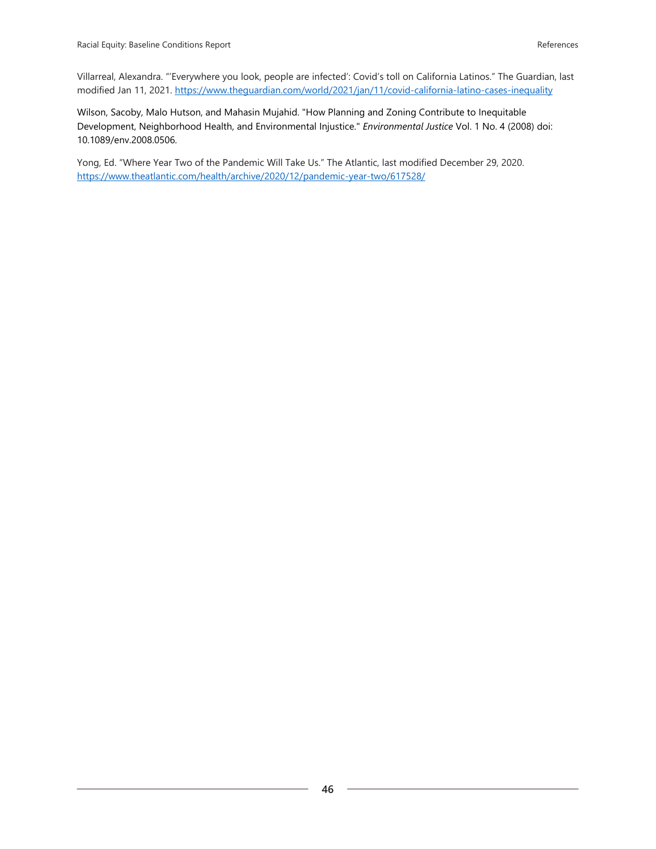Villarreal, Alexandra. "'Everywhere you look, people are infected': Covid's toll on California Latinos." The Guardian, last modified Jan 11, 2021.<https://www.theguardian.com/world/2021/jan/11/covid-california-latino-cases-inequality>

Wilson, Sacoby, Malo Hutson, and Mahasin Mujahid. "How Planning and Zoning Contribute to Inequitable Development, Neighborhood Health, and Environmental Injustice." *Environmental Justice* Vol. 1 No. 4 (2008) doi: 10.1089/env.2008.0506.

Yong, Ed. "Where Year Two of the Pandemic Will Take Us." The Atlantic, last modified December 29, 2020. <https://www.theatlantic.com/health/archive/2020/12/pandemic-year-two/617528/>